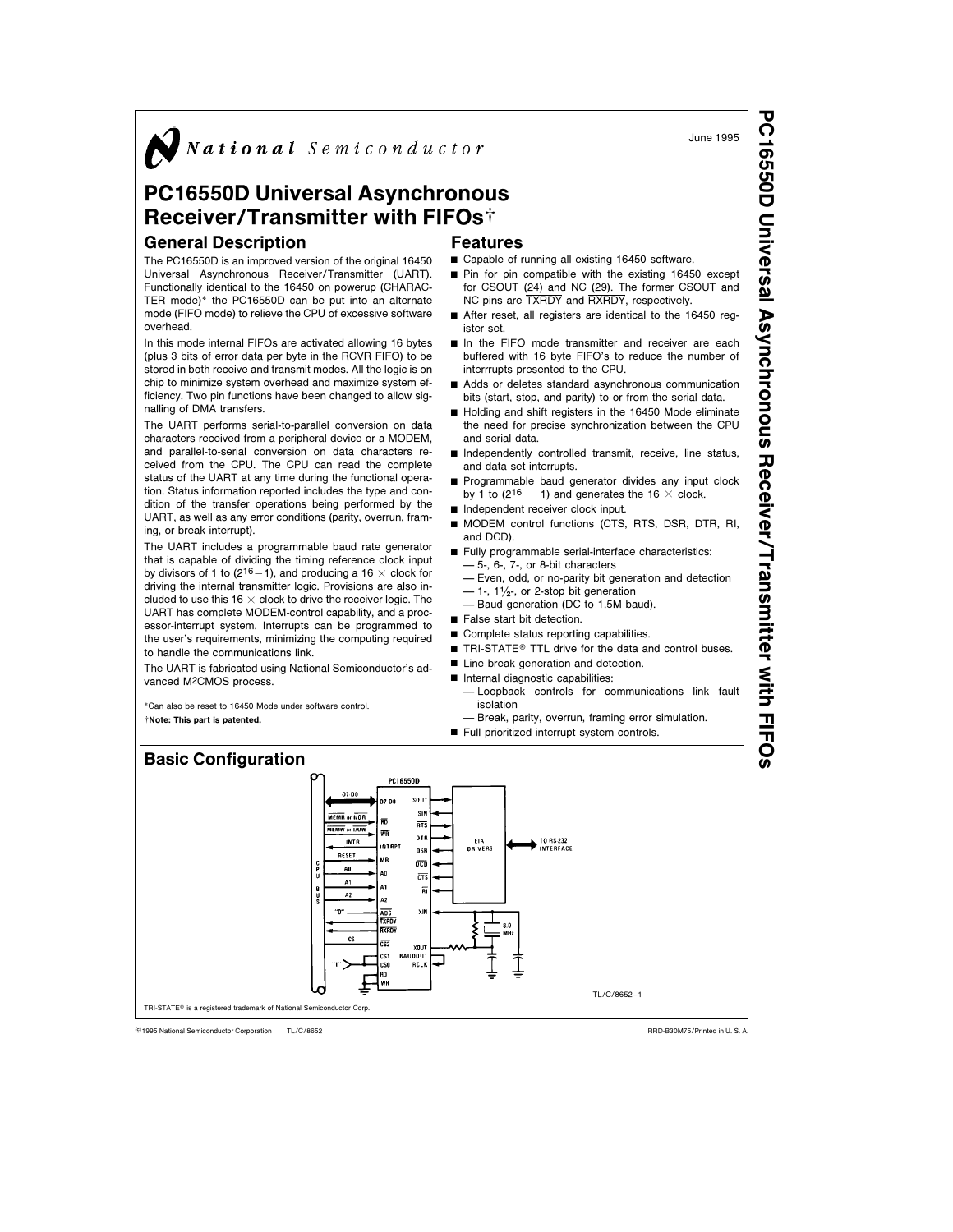$\sum$  National Semiconductor

# PC16550D Universal Asynchronous Receiver/Transmitter with FIFOst

Universal Asynchronous Receiver/Transmitter (UART). Functionally identical to the 16450 on powerup (CHARAC-

In this mode internal FIFOs are activated allowing 16 bytes (plus 3 bits of error data per byte in the RCVR FIFO) to be stored in both receive and transmit modes. All the logic is on chip to minimize system overhead and maximize system efficiency. Two pin functions have been changed to allow sig-

The UART performs serial-to-parallel conversion on data characters received from a peripheral device or a MODEM, and parallel-to-serial conversion on data characters received from the CPU. The CPU can read the complete status of the UART at any time during the functional operation. Status information reported includes the type and condition of the transfer operations being performed by the UART, as well as any error conditions (parity, overrun, fram-

The UART includes a programmable baud rate generator that is capable of dividing the timing reference clock input by divisors of 1 to (2<sup>16</sup> – 1), and producing a 16  $\times$  clock for driving the internal transmitter logic. Provisions are also included to use this 16  $\times$  clock to drive the receiver logic. The

# General Description The PC16550D is an improved version of the original 16450

overhead.

nalling of DMA transfers.

ing, or break interrupt).

Features

- $\blacksquare$  Capable of running all existing 16450 software.
- TER mode)\* the PC16550D can be put into an alternate mode (FIFO mode) to relieve the CPU of excessive software ■ Pin for pin compatible with the existing 16450 except for CSOUT (24) and NC (29). The former CSOUT and NC pins are TXRDY and RXRDY, respectively.
	- After reset, all registers are identical to the 16450 register set.
	- In the FIFO mode transmitter and receiver are each buffered with 16 byte FIFO's to reduce the number of interrrupts presented to the CPU.
	- Adds or deletes standard asynchronous communication bits (start, stop, and parity) to or from the serial data.
	- Holding and shift registers in the 16450 Mode eliminate the need for precise synchronization between the CPU and serial data.
	- Independently controlled transmit, receive, line status, and data set interrupts.
	- Programmable baud generator divides any input clock by 1 to (2<sup>16</sup> - 1) and generates the 16  $\times$  clock.
	- Independent receiver clock input.
	- MODEM control functions (CTS, RTS, DSR, DTR, RI, and DCD).
	- Fully programmable serial-interface characteristics: Ð 5-, 6-, 7-, or 8-bit characters
		- Ð Even, odd, or no-parity bit generation and detection  $-1$ -,  $1\frac{1}{2}$ -, or 2-stop bit generation
		- Baud generation (DC to 1.5M baud).
	- $\blacksquare$  False start bit detection.

EIA<br>DRIVERS

- $\blacksquare$  Complete status reporting capabilities.
- TRI-STATE<sup>®</sup> TTL drive for the data and control buses.
- **E** Line break generation and detection.
- Internal diagnostic capabilities:
	- Ð Loopback controls for communications link fault isolation

TL/C/8652 –1

- Break, parity, overrun, framing error simulation.
- Full prioritized interrupt system controls.

TO RS-232

UART has complete MODEM-control capability, and a processor-interrupt system. Interrupts can be programmed to the user's requirements, minimizing the computing required to handle the communications link. The UART is fabricated using National Semiconductor's advanced M2CMOS process.

\*Can also be reset to 16450 Mode under software control. ²Note: This part is patented.



07.00

RESET

A0

 $\mathbf{A}$ 

 $\overline{A2}$ 

 $\overline{cs}$ 

 $\cdot \cdot \mathbf{0}$ 

MR

Δn

A1

 $A2$ 

ADS XRDY RXROY

 $\overline{rs}$ 

 $\overline{ncn}$ 

 $\overline{c\tau s}$ 

**XOUT** BAUDOUT CS1<br>CSO RD WR



sout , na  $\overline{\text{MEMB}}$  or  $\overline{\text{MIB}}$  $\overline{m}$  $\overline{RTS}$ MEMW or 1/0W WR  $\overline{018}$ INTR **INTRP** osf

TL/C/8652 external Semiconductor Corporation TL/C/8652 Research 2001 12:00 and 2001 12:00 and 2001 12:00 and 2001 12:00 ARD-B30M75/Printed in U. S. A.

TRI-STATE® is a registered trademark of National Semiconductor Corp.

June 1995

PC16550D

Universal

Asynchronous

Receiver/Transmitter

with FIFOs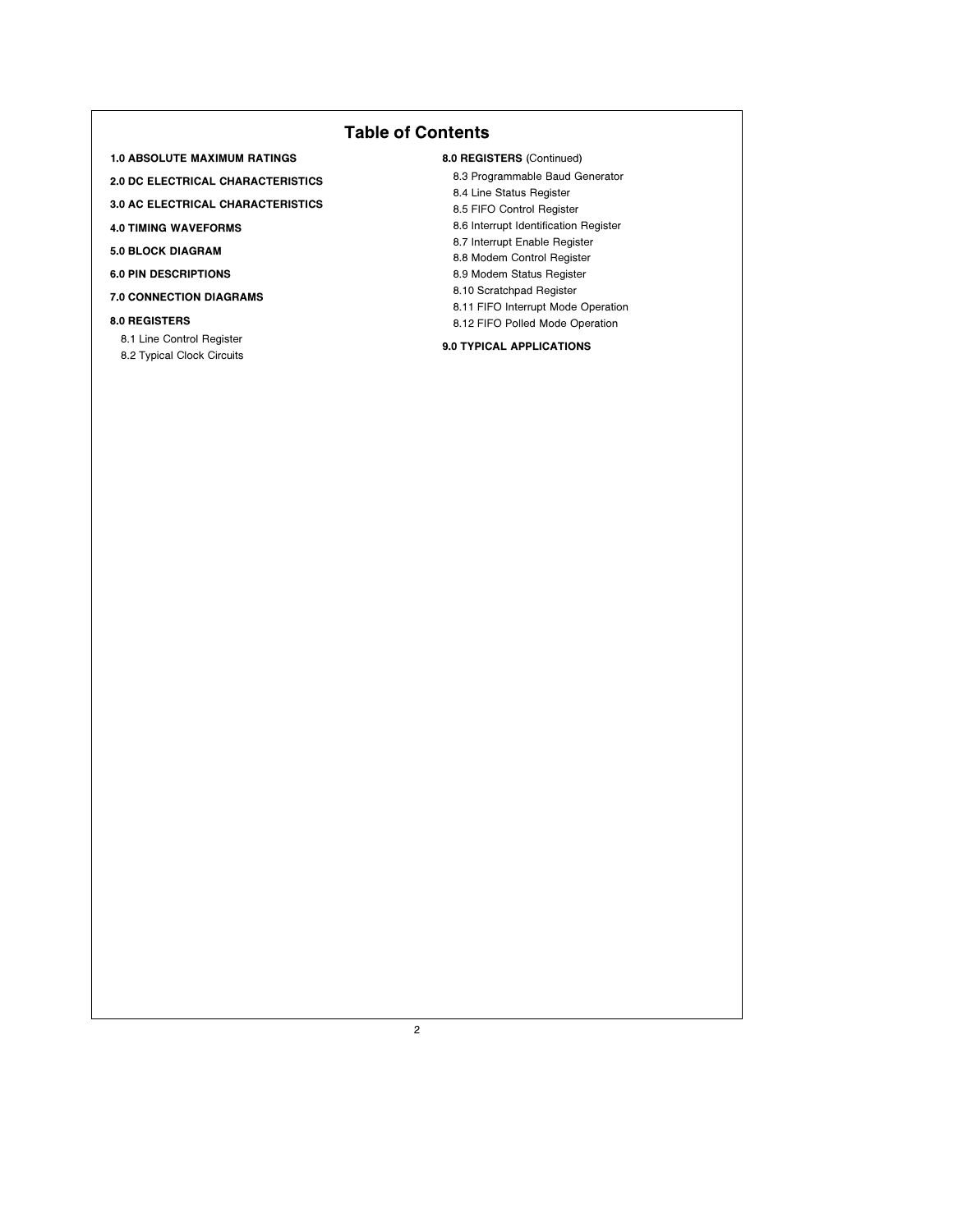# Table of Contents

1.0 ABSOLUTE MAXIMUM RATINGS

2.0 DC ELECTRICAL CHARACTERISTICS

- 3.0 AC ELECTRICAL CHARACTERISTICS
- 4.0 TIMING WAVEFORMS
- 5.0 BLOCK DIAGRAM
- 6.0 PIN DESCRIPTIONS
- 7.0 CONNECTION DIAGRAMS
- 8.0 REGISTERS
- 8.1 Line Control Register
- 8.2 Typical Clock Circuits
- 8.0 REGISTERS (Continued)
	- 8.3 Programmable Baud Generator
	- 8.4 Line Status Register
	- 8.5 FIFO Control Register
	- 8.6 Interrupt Identification Register
	- 8.7 Interrupt Enable Register
	- 8.8 Modem Control Register
	- 8.9 Modem Status Register 8.10 Scratchpad Register
	- 8.11 FIFO Interrupt Mode Operation
	- 8.12 FIFO Polled Mode Operation

### 9.0 TYPICAL APPLICATIONS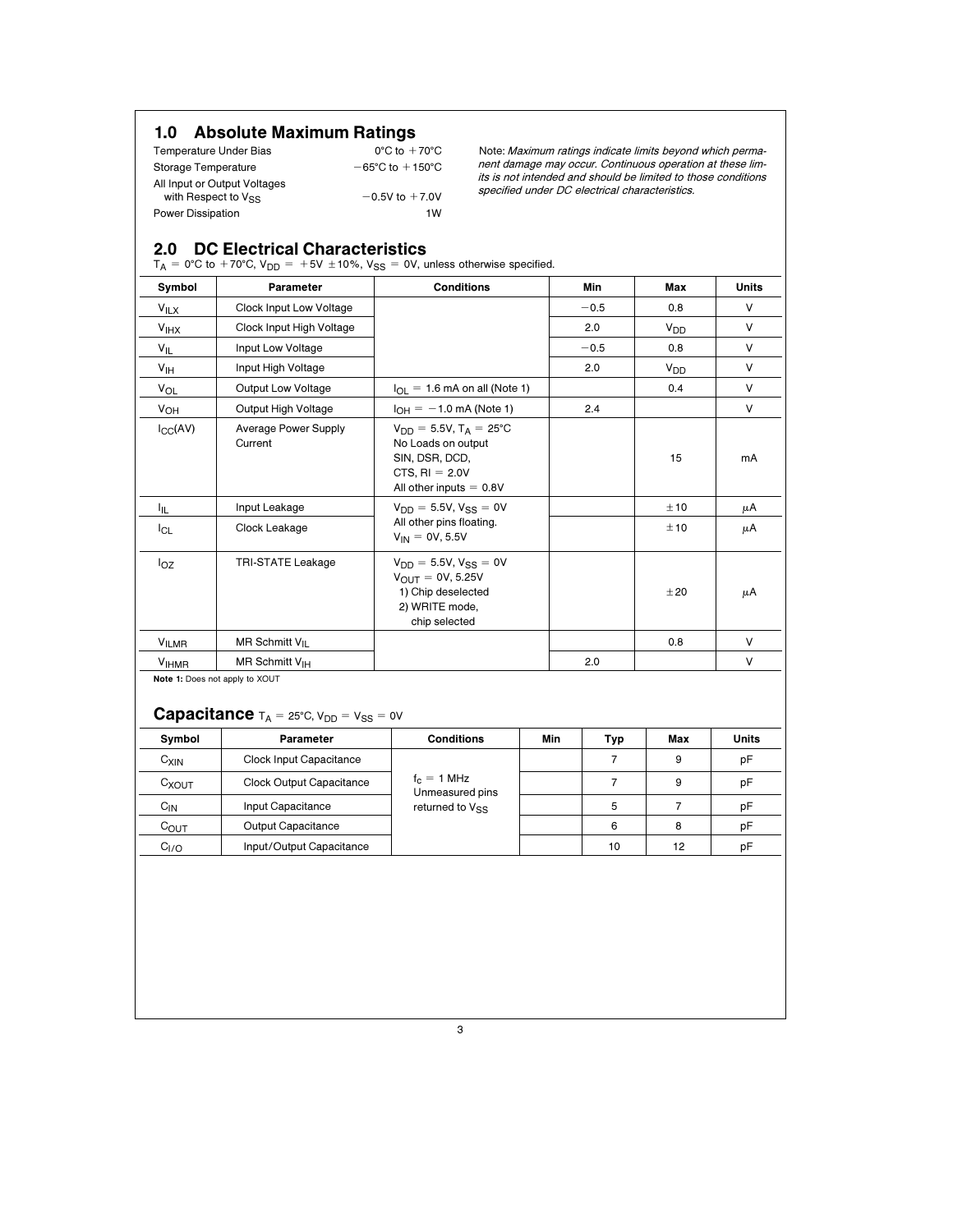# 1.0 Absolute Maximum Ratings  $0^{\circ}$ C to  $+70^{\circ}$ C

| Temperature Under Bias       | $0^{\circ}$ C to $+70^{\circ}$ C    |
|------------------------------|-------------------------------------|
| Storage Temperature          | $-65^{\circ}$ C to $+150^{\circ}$ C |
| All Input or Output Voltages |                                     |
| with Respect to Vss          | $-0.5V$ to $+7.0V$                  |
| <b>Power Dissipation</b>     | 1W                                  |

Note: Maximum ratings indicate limits beyond which permanent damage may occur. Continuous operation at these limits is not intended and should be limited to those conditions specified under DC electrical characteristics.

# 2.0 DC Electrical Characteristics

 $T_A = 0$ °C to +70°C, V<sub>DD</sub> = +5V ±10%, V<sub>SS</sub> = 0V, unless otherwise specified.

| Symbol                  | <b>Parameter</b>                       | <b>Conditions</b>                                                                                                              | Min    | Max             | <b>Units</b> |
|-------------------------|----------------------------------------|--------------------------------------------------------------------------------------------------------------------------------|--------|-----------------|--------------|
| $V_{\text{ILX}}$        | Clock Input Low Voltage                |                                                                                                                                | $-0.5$ | 0.8             | V            |
| V <sub>IHX</sub>        | Clock Input High Voltage               |                                                                                                                                | 2.0    | V <sub>DD</sub> | V            |
| $V_{IL}$                | Input Low Voltage                      |                                                                                                                                | $-0.5$ | 0.8             | V            |
| V <sub>IH</sub>         | Input High Voltage                     |                                                                                                                                | 2.0    | V <sub>DD</sub> | V            |
| <b>V<sub>OL</sub></b>   | <b>Output Low Voltage</b>              | $I_{\Omega} = 1.6$ mA on all (Note 1)                                                                                          |        | 0.4             | $\vee$       |
| V <sub>OH</sub>         | Output High Voltage                    | $I_{OH} = -1.0$ mA (Note 1)                                                                                                    | 2.4    |                 | V            |
| $I_{CC}(AV)$            | <b>Average Power Supply</b><br>Current | $V_{DD} = 5.5V$ , $T_A = 25^{\circ}C$<br>No Loads on output<br>SIN, DSR, DCD,<br>CTS, $RI = 2.0V$<br>All other inputs $= 0.8V$ |        | 15              | mA           |
| ŀμ                      | Input Leakage                          | $V_{DD} = 5.5V, V_{SS} = 0V$                                                                                                   |        | ±10             | μA           |
| $I_{CL}$                | Clock Leakage                          | All other pins floating.<br>$V_{IN} = 0V, 5.5V$                                                                                |        | ±10             | μA           |
| $I_{OZ}$                | <b>TRI-STATE Leakage</b>               | $V_{DD} = 5.5V, V_{SS} = 0V$<br>$V_{OUIT} = 0V, 5.25V$<br>1) Chip deselected<br>2) WRITE mode,<br>chip selected                |        | ±20             | μA           |
| VILMR                   | MR Schmitt $V_{II}$                    |                                                                                                                                |        | 0.8             | V            |
| <b>V<sub>IHMR</sub></b> | MR Schmitt $V_{IH}$                    |                                                                                                                                | 2.0    |                 | V            |

**Capacitance**  $T_A = 25^\circ C$ ,  $V_{DD} = V_{SS} = 0V$ 

| Symbol           | Parameter                | <b>Conditions</b>                | Min | Typ | Max | <b>Units</b> |
|------------------|--------------------------|----------------------------------|-----|-----|-----|--------------|
| $C_{XIN}$        | Clock Input Capacitance  |                                  |     |     | 9   | рF           |
| $C_{XOUT}$       | Clock Output Capacitance | $f_c = 1$ MHz<br>Unmeasured pins |     |     | 9   | рF           |
| $C_{IN}$         | Input Capacitance        | returned to Vss                  |     | 5   |     | рF           |
| $C_{OUT}$        | Output Capacitance       |                                  |     | 6   | 8   | рF           |
| C <sub>I/O</sub> | Input/Output Capacitance |                                  |     | 10  | 12  | рF           |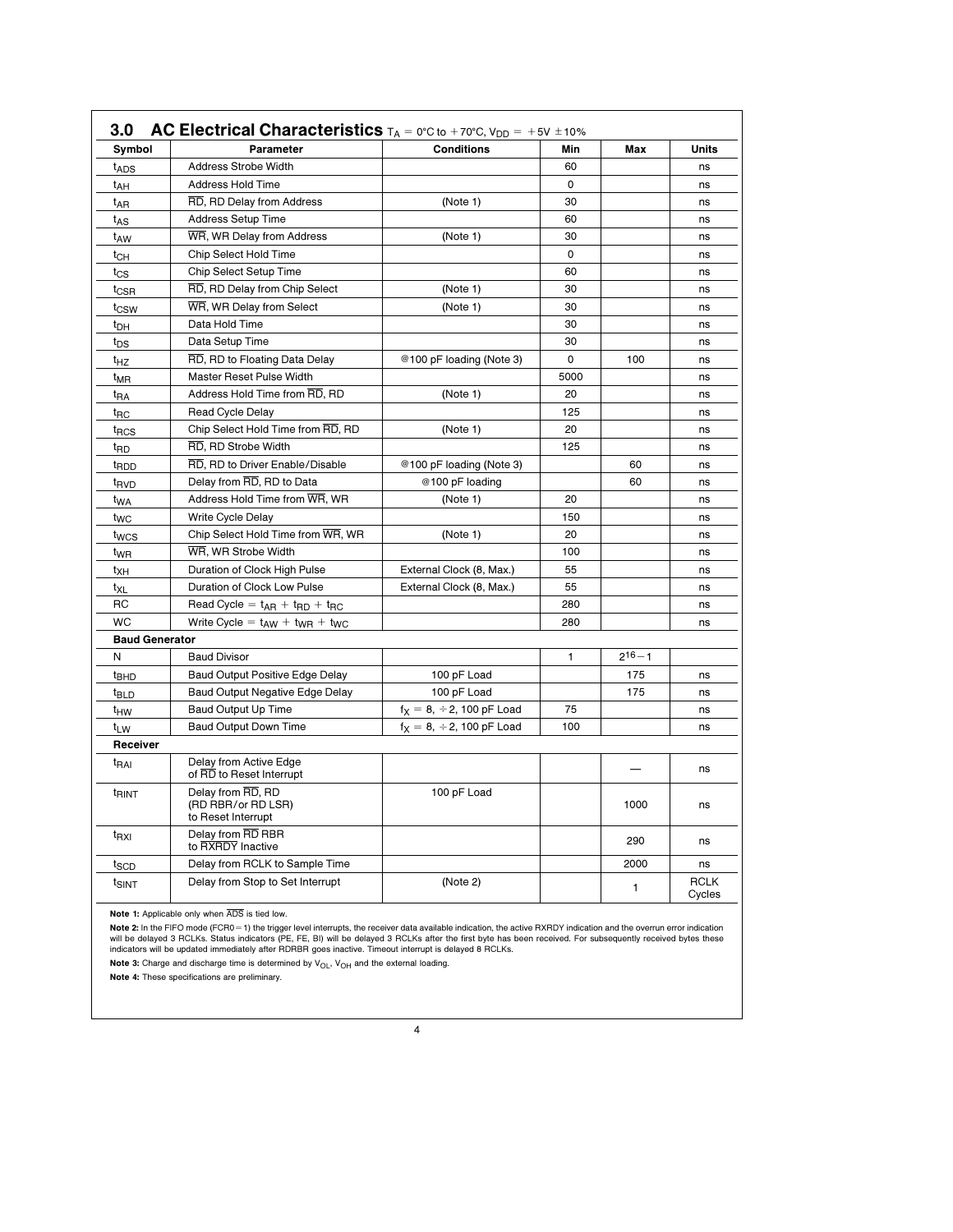| Symbol                                                                             | Parameter                                          | <b>Conditions</b>                      | Min  | Max          | Units                 |
|------------------------------------------------------------------------------------|----------------------------------------------------|----------------------------------------|------|--------------|-----------------------|
| t <sub>ADS</sub>                                                                   | <b>Address Strobe Width</b>                        |                                        | 60   |              | ns                    |
| t <sub>AH</sub>                                                                    | Address Hold Time                                  |                                        | 0    |              | ns                    |
| t <sub>AR</sub>                                                                    | RD, RD Delay from Address                          | (Note 1)                               | 30   |              | ns                    |
| t <sub>AS</sub>                                                                    | <b>Address Setup Time</b>                          |                                        | 60   |              | ns                    |
| taw                                                                                | WR, WR Delay from Address                          | (Note 1)                               | 30   |              | ns                    |
| $t_{CH}$                                                                           | Chip Select Hold Time                              |                                        | 0    |              | ns                    |
| $t_{\rm CS}$                                                                       | Chip Select Setup Time                             |                                        | 60   |              | ns                    |
| t <sub>CSR</sub>                                                                   | RD, RD Delay from Chip Select                      | (Note 1)                               | 30   |              | ns                    |
| t <sub>CSW</sub>                                                                   | WR, WR Delay from Select                           | (Note 1)                               | 30   |              | ns                    |
| t <sub>DH</sub>                                                                    | Data Hold Time                                     |                                        | 30   |              | ns                    |
| t <sub>DS</sub>                                                                    | Data Setup Time                                    |                                        | 30   |              | ns                    |
| t <sub>HZ</sub>                                                                    | RD, RD to Floating Data Delay                      | @100 pF loading (Note 3)               | 0    | 100          | ns                    |
| t <sub>MR</sub>                                                                    | Master Reset Pulse Width                           |                                        | 5000 |              | ns                    |
| t <sub>RA</sub>                                                                    | Address Hold Time from RD, RD                      | (Note 1)                               | 20   |              | ns                    |
| t <sub>RC</sub>                                                                    | Read Cycle Delay                                   |                                        | 125  |              | ns                    |
| t <sub>RCS</sub>                                                                   | Chip Select Hold Time from RD, RD                  | (Note 1)                               | 20   |              | ns                    |
| t <sub>RD</sub>                                                                    | RD, RD Strobe Width                                |                                        | 125  |              | ns                    |
| <sup>t</sup> RDD                                                                   | RD, RD to Driver Enable/Disable                    | @100 pF loading (Note 3)               |      | 60           | ns                    |
| t <sub>RVD</sub>                                                                   | Delay from RD, RD to Data                          | @100 pF loading                        |      | 60           | ns                    |
| t <sub>WA</sub>                                                                    | Address Hold Time from WR, WR                      | (Note 1)                               | 20   |              | ns                    |
| t <sub>WC</sub>                                                                    | Write Cycle Delay                                  |                                        | 150  |              | ns                    |
| t <sub>wcs</sub>                                                                   | Chip Select Hold Time from WR, WR                  | (Note 1)                               | 20   |              | ns                    |
| t <sub>WR</sub>                                                                    | WR, WR Strobe Width                                |                                        | 100  |              | ns                    |
| t <sub>XH</sub>                                                                    | Duration of Clock High Pulse                       | External Clock (8, Max.)               | 55   |              | ns                    |
| t <sub>XL</sub>                                                                    | Duration of Clock Low Pulse                        | External Clock (8, Max.)               | 55   |              | ns                    |
| RC                                                                                 | Read Cycle = $t_{AR} + t_{RD} + t_{RC}$            |                                        | 280  |              | ns                    |
| <b>WC</b>                                                                          | Write Cycle = $t_{AW} + t_{WR} + t_{WC}$           |                                        | 280  |              | ns                    |
| <b>Baud Generator</b>                                                              |                                                    |                                        |      |              |                       |
| Ν                                                                                  | <b>Baud Divisor</b>                                |                                        | 1    | $2^{16} - 1$ |                       |
| <sup>t</sup> BHD                                                                   | Baud Output Positive Edge Delay                    | 100 pF Load                            |      | 175          | ns                    |
| <sup>t</sup> BLD                                                                   | Baud Output Negative Edge Delay                    | 100 pF Load                            |      | 175          | ns                    |
| t <sub>HW</sub>                                                                    | <b>Baud Output Up Time</b>                         | $f_X = 8, \div 2, 100 \text{ pF}$ Load | 75   |              | ns                    |
| t <sub>LW</sub>                                                                    | <b>Baud Output Down Time</b>                       | $f_X = 8, \div 2, 100$ pF Load         | 100  |              | ns                    |
| Receiver                                                                           |                                                    |                                        |      |              |                       |
| t <sub>RAI</sub>                                                                   | Delay from Active Edge<br>of RD to Reset Interrupt |                                        |      |              | ns                    |
| Delay from RD, RD<br>t <sub>RINT</sub><br>(RD RBR/or RD LSR)<br>to Reset Interrupt |                                                    | 100 pF Load                            |      | 1000         | ns                    |
| t <sub>RXI</sub>                                                                   | Delay from RD RBR<br>to RXRDY Inactive             |                                        |      | 290          | ns                    |
| t <sub>SCD</sub>                                                                   | Delay from RCLK to Sample Time                     |                                        |      | 2000         | ns                    |
| t <sub>SINT</sub>                                                                  | Delay from Stop to Set Interrupt                   | (Note 2)                               |      | 1            | <b>RCLK</b><br>Cycles |

Note 2: In the FIFO mode (FCR0 = 1) the trigger level interrupts, the receiver data available indication, the active RXRDY indication and the overrun error indication<br>will be delayed 3 RCLKs. Status indicators (PE, FE, BI)

Note 3: Charge and discharge time is determined by  $V_{OL}$ ,  $V_{OH}$  and the external loading.

Note 4: These specifications are preliminary.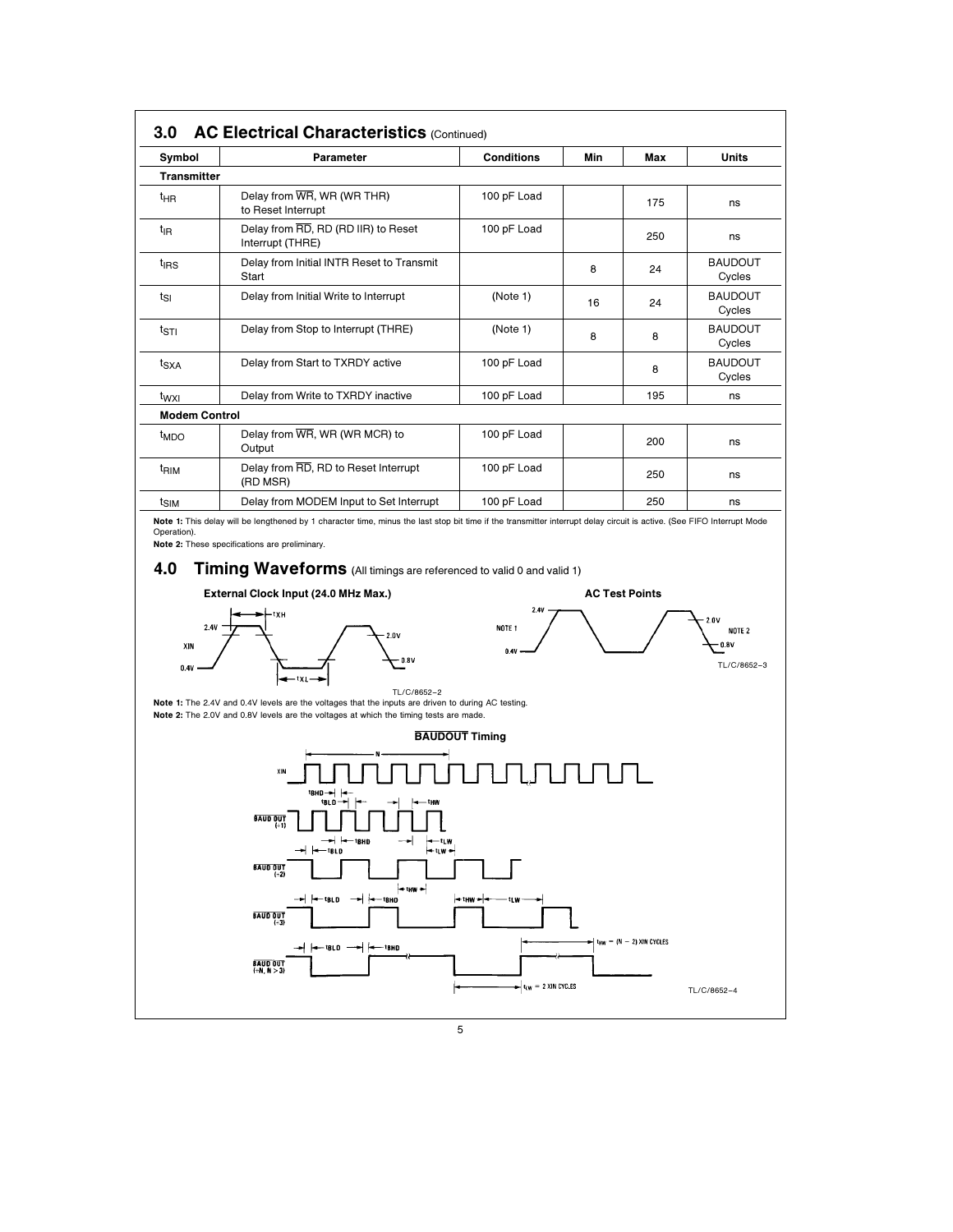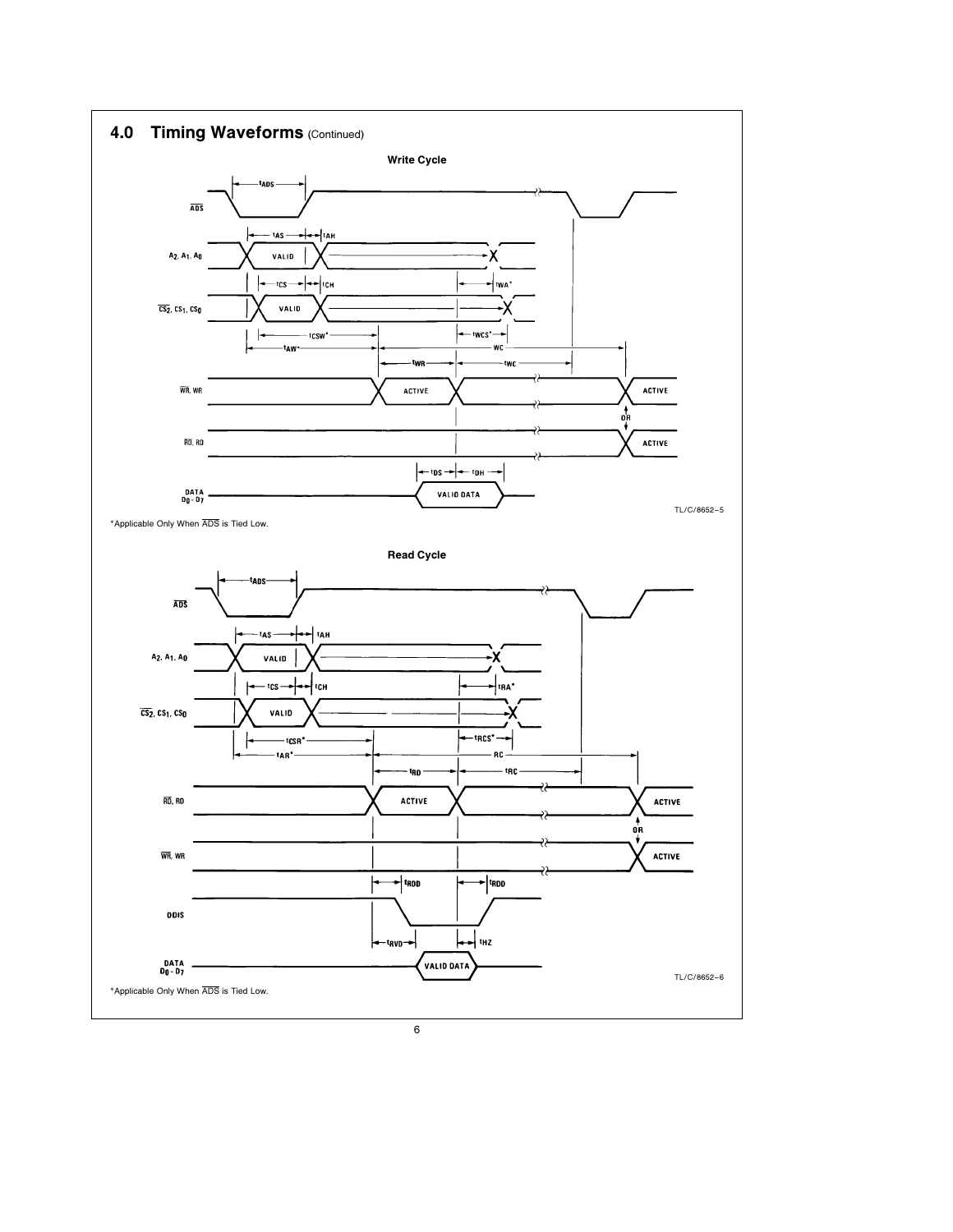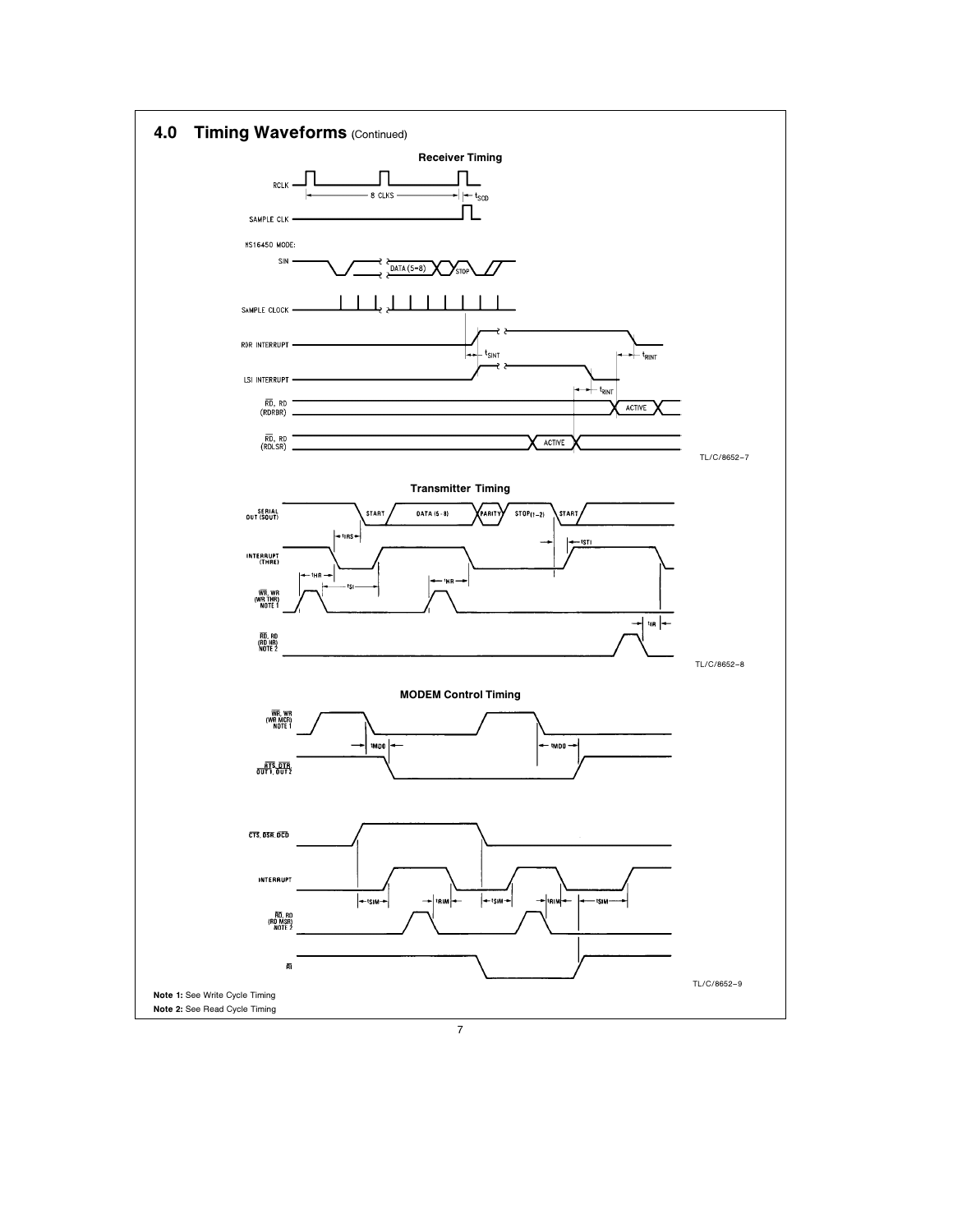

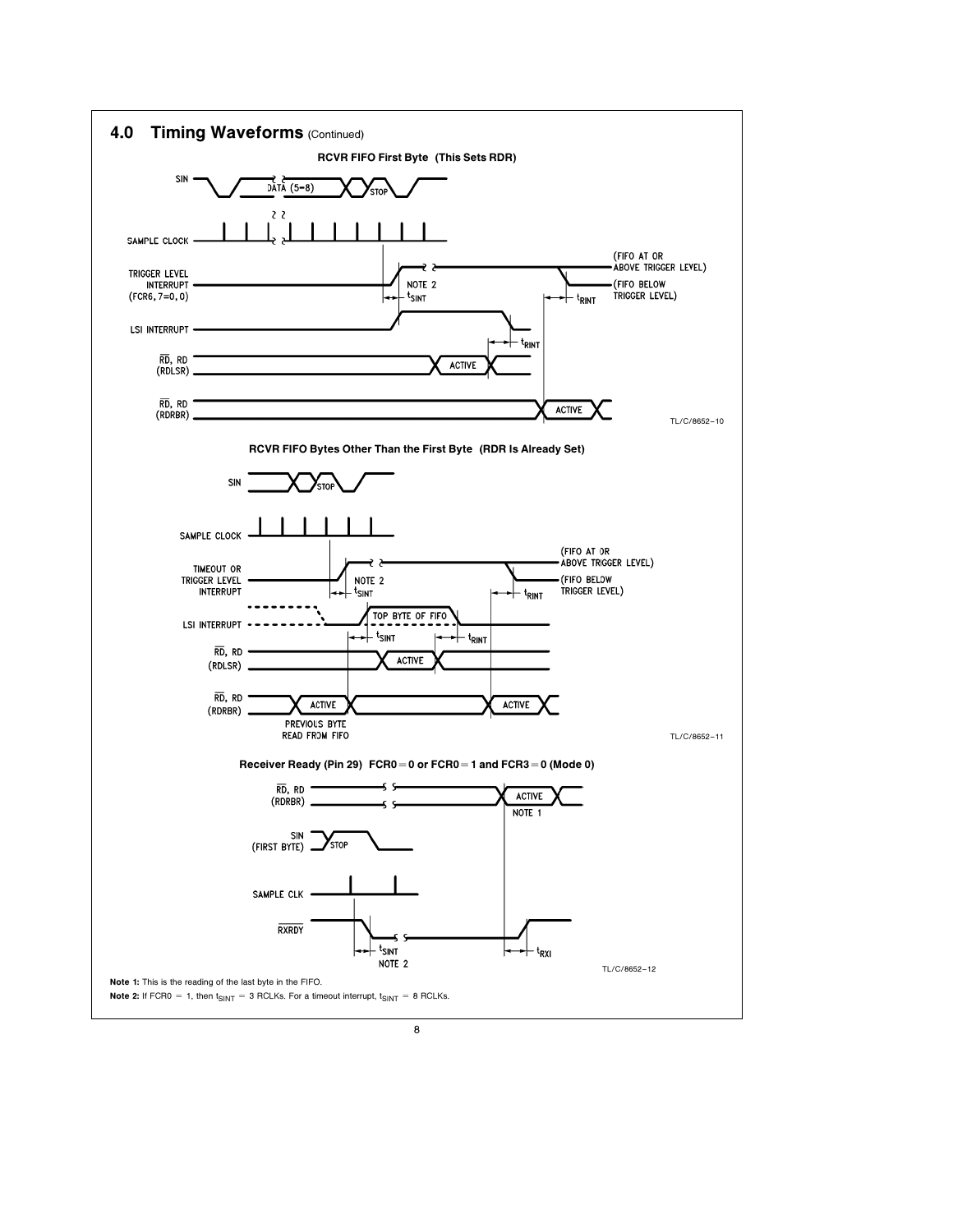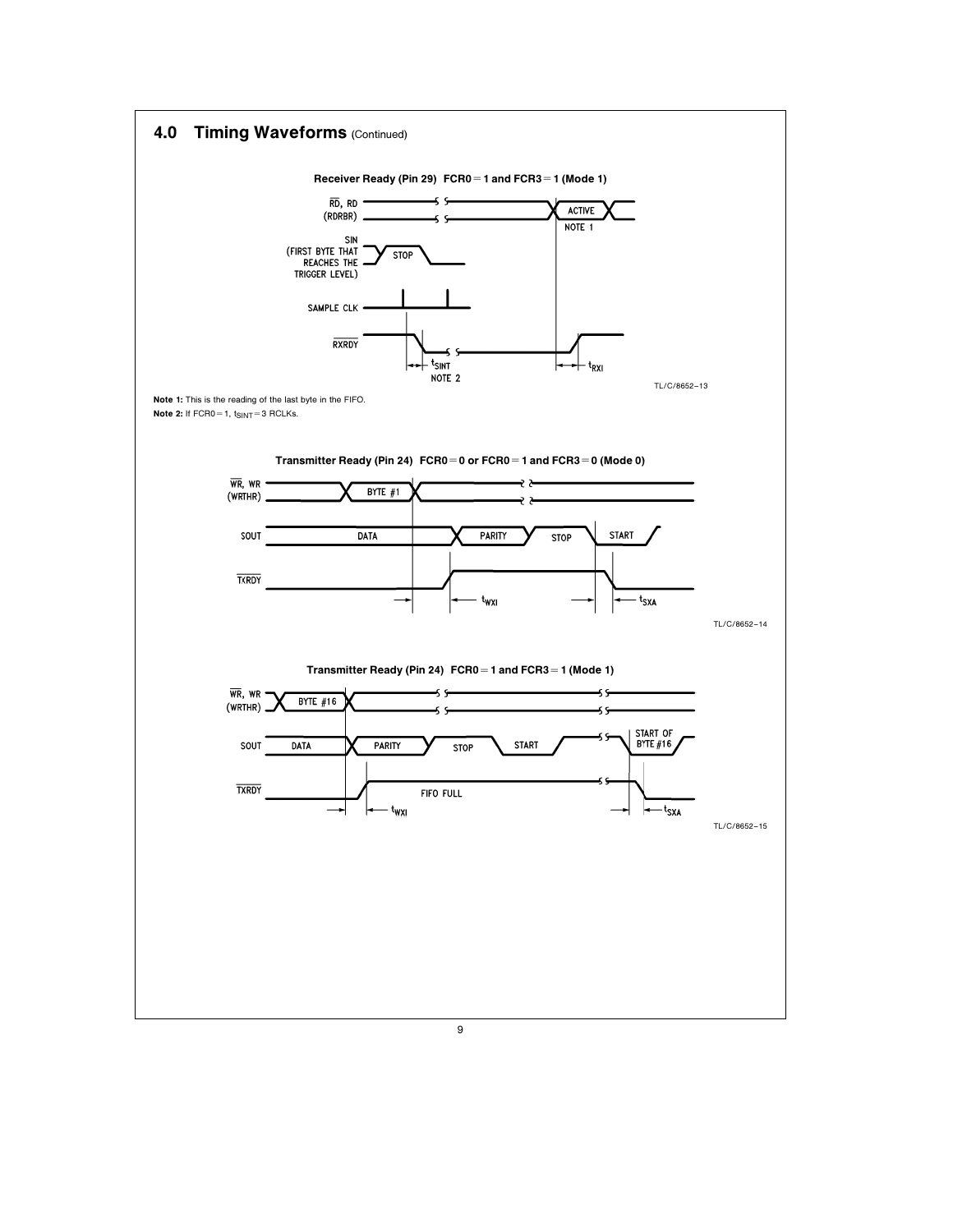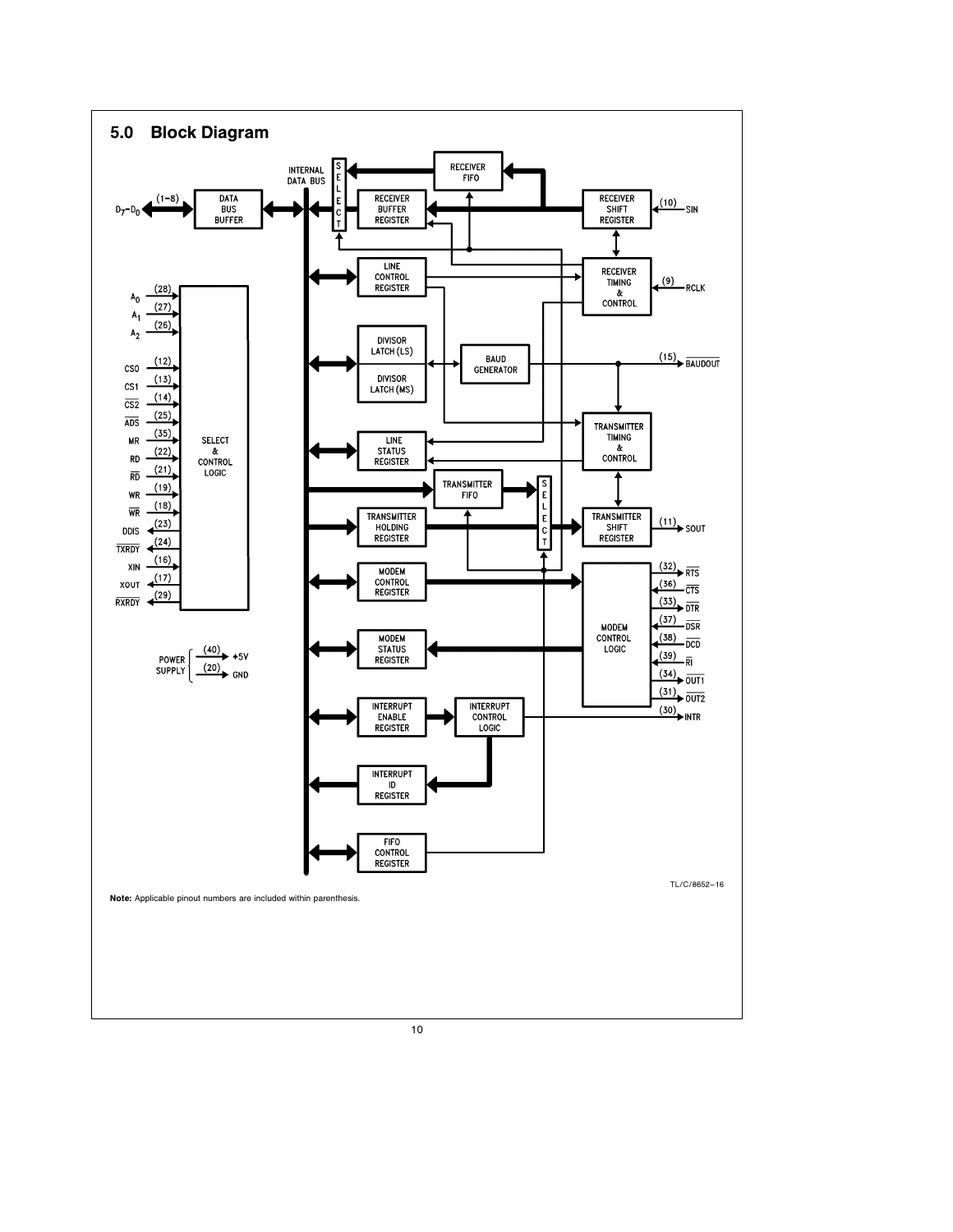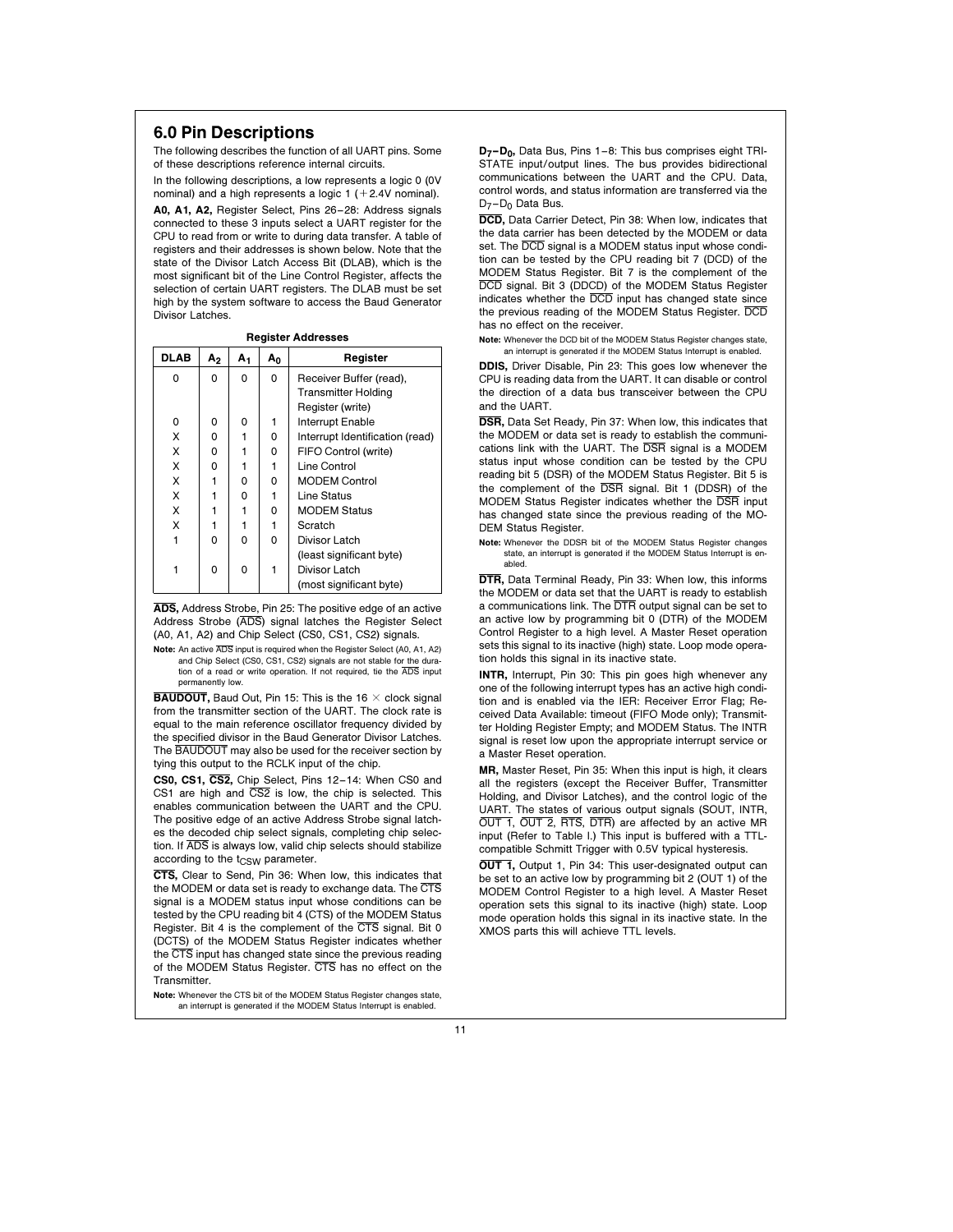# 6.0 Pin Descriptions

The following describes the function of all UART pins. Some of these descriptions reference internal circuits.

In the following descriptions, a low represents a logic 0 (0V nominal) and a high represents a logic  $1 (+2.4V$  nominal).

A0, A1, A2, Register Select, Pins 26 –28: Address signals connected to these 3 inputs select a UART register for the CPU to read from or write to during data transfer. A table of registers and their addresses is shown below. Note that the state of the Divisor Latch Access Bit (DLAB), which is the most significant bit of the Line Control Register, affects the selection of certain UART registers. The DLAB must be set high by the system software to access the Baud Generator Divisor Latches.

|             | <b>Register Addresses</b> |    |       |                                 |  |  |  |  |  |
|-------------|---------------------------|----|-------|---------------------------------|--|--|--|--|--|
| <b>DLAB</b> | А,                        | А1 | $A_0$ | Register                        |  |  |  |  |  |
| 0           | 0                         | 0  | 0     | Receiver Buffer (read),         |  |  |  |  |  |
|             |                           |    |       | <b>Transmitter Holding</b>      |  |  |  |  |  |
|             |                           |    |       | Register (write)                |  |  |  |  |  |
| 0           | 0                         | 0  | 1     | Interrupt Enable                |  |  |  |  |  |
| X           | 0                         | 1  | 0     | Interrupt Identification (read) |  |  |  |  |  |
| X           | 0                         |    | 0     | FIFO Control (write)            |  |  |  |  |  |
| X           | 0                         | 1  | 1     | Line Control                    |  |  |  |  |  |
| X           | 1                         | 0  | 0     | <b>MODEM Control</b>            |  |  |  |  |  |
| X           | 1                         | 0  | 1     | Line Status                     |  |  |  |  |  |
| X           |                           | 1  | 0     | <b>MODEM Status</b>             |  |  |  |  |  |
| X           |                           | 1  | 1     | Scratch                         |  |  |  |  |  |
| 1           | 0                         | 0  | 0     | Divisor Latch                   |  |  |  |  |  |
|             |                           |    |       | (least significant byte)        |  |  |  |  |  |
|             | 0                         | 0  | 1     | Divisor Latch                   |  |  |  |  |  |
|             |                           |    |       | (most significant byte)         |  |  |  |  |  |

ADS, Address Strobe, Pin 25: The positive edge of an active Address Strobe (ADS) signal latches the Register Select (A0, A1, A2) and Chip Select (CS0, CS1, CS2) signals.

Note: An active ADS input is required when the Register Select (A0, A1, A2) and Chip Select (CS0, CS1, CS2) signals are not stable for tion of a read or write operation. If not required, tie the ADS input permanently low.

**BAUDOUT, Baud Out, Pin 15: This is the 16**  $\times$  **clock signal** from the transmitter section of the UART. The clock rate is equal to the main reference oscillator frequency divided by the specified divisor in the Baud Generator Divisor Latches. The BAUDOUT may also be used for the receiver section by tying this output to the RCLK input of the chip.

CS0, CS1, CS2, Chip Select, Pins 12-14: When CS0 and CS1 are high and  $\overline{CS2}$  is low, the chip is selected. This enables communication between the UART and the CPU. The positive edge of an active Address Strobe signal latches the decoded chip select signals, completing chip selection. If ADS is always low, valid chip selects should stabilize according to the t<sub>CSW</sub> parameter.

CTS, Clear to Send, Pin 36: When low, this indicates that the MODEM or data set is ready to exchange data. The CTS signal is a MODEM status input whose conditions can be tested by the CPU reading bit 4 (CTS) of the MODEM Status Register. Bit 4 is the complement of the CTS signal. Bit 0 (DCTS) of the MODEM Status Register indicates whether the CTS input has changed state since the previous reading of the MODEM Status Register. CTS has no effect on the Transmitter.

Note: Whenever the CTS bit of the MODEM Status Register changes state, an interrupt is generated if the MODEM Status Interrupt is enabled.

D<sub>7</sub>-D<sub>0</sub>, Data Bus, Pins 1-8: This bus comprises eight TRI-STATE input/output lines. The bus provides bidirectional communications between the UART and the CPU. Data, control words, and status information are transferred via the D<sub>7</sub>-D<sub>0</sub> Data Bus.

DCD, Data Carrier Detect, Pin 38: When low, indicates that the data carrier has been detected by the MODEM or data set. The **DCD** signal is a MODEM status input whose condition can be tested by the CPU reading bit 7 (DCD) of the MODEM Status Register. Bit 7 is the complement of the DCD signal. Bit 3 (DDCD) of the MODEM Status Register indicates whether the DCD input has changed state since the previous reading of the MODEM Status Register. DCD has no effect on the receiver.

Note: Whenever the DCD bit of the MODEM Status Register changes state, an interrupt is generated if the MODEM Status Interrupt is enabled.

DDIS, Driver Disable, Pin 23: This goes low whenever the CPU is reading data from the UART. It can disable or control the direction of a data bus transceiver between the CPU and the UART.

DSR, Data Set Ready, Pin 37: When low, this indicates that the MODEM or data set is ready to establish the communications link with the UART. The DSR signal is a MODEM status input whose condition can be tested by the CPU reading bit 5 (DSR) of the MODEM Status Register. Bit 5 is the complement of the DSR signal. Bit 1 (DDSR) of the MODEM Status Register indicates whether the DSR input has changed state since the previous reading of the MO-DEM Status Register.

Note: Whenever the DDSR bit of the MODEM Status Register changes state, an interrupt is generated if the MODEM Status Interrupt is enabled.

DTR, Data Terminal Ready, Pin 33: When low, this informs the MODEM or data set that the UART is ready to establish a communications link. The DTR output signal can be set to an active low by programming bit 0 (DTR) of the MODEM Control Register to a high level. A Master Reset operation sets this signal to its inactive (high) state. Loop mode operation holds this signal in its inactive state.

INTR, Interrupt, Pin 30: This pin goes high whenever any one of the following interrupt types has an active high condition and is enabled via the IER: Receiver Error Flag; Received Data Available: timeout (FIFO Mode only); Transmitter Holding Register Empty; and MODEM Status. The INTR signal is reset low upon the appropriate interrupt service or a Master Reset operation.

MR, Master Reset, Pin 35: When this input is high, it clears all the registers (except the Receiver Buffer, Transmitter Holding, and Divisor Latches), and the control logic of the UART. The states of various output signals (SOUT, INTR, OUT 1, OUT 2, RTS, DTR) are affected by an active MR input (Refer to Table I.) This input is buffered with a TTLcompatible Schmitt Trigger with 0.5V typical hysteresis.

**OUT 1, Output 1, Pin 34: This user-designated output can** be set to an active low by programming bit 2 (OUT 1) of the MODEM Control Register to a high level. A Master Reset operation sets this signal to its inactive (high) state. Loop mode operation holds this signal in its inactive state. In the XMOS parts this will achieve TTL levels.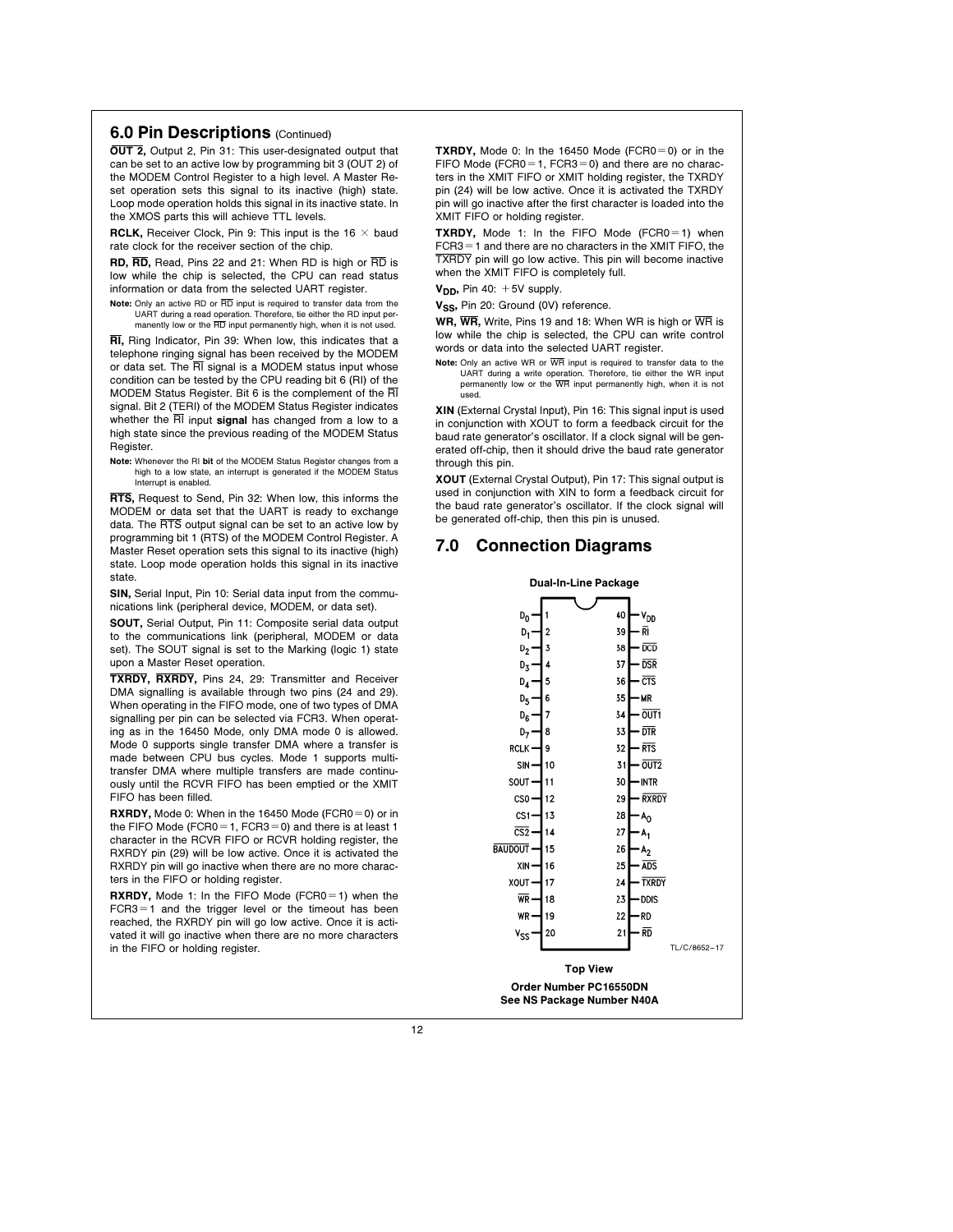### **6.0 Pin Descriptions (Continued)**

OUT 2, Output 2, Pin 31: This user-designated output that can be set to an active low by programming bit 3 (OUT 2) of the MODEM Control Register to a high level. A Master Reset operation sets this signal to its inactive (high) state. Loop mode operation holds this signal in its inactive state. In the XMOS parts this will achieve TTL levels.

RCLK, Receiver Clock, Pin 9: This input is the 16  $\times$  baud rate clock for the receiver section of the chip.

RD, RD, Read, Pins 22 and 21: When RD is high or RD is low while the chip is selected, the CPU can read status information or data from the selected UART register.

Note: Only an active RD or  $\overline{\text{RD}}$  input is required to transfer data from the UART during a read operation. Therefore, tie either the RD input permanently low or the RD input permanently high, when it is not used.

RI, Ring Indicator, Pin 39: When low, this indicates that a telephone ringing signal has been received by the MODEM or data set. The RI signal is a MODEM status input whose condition can be tested by the CPU reading bit 6 (RI) of the MODEM Status Register. Bit 6 is the complement of the RI signal. Bit 2 (TERI) of the MODEM Status Register indicates whether the  $\overline{RI}$  input signal has changed from a low to a high state since the previous reading of the MODEM Status Register.

Note: Whenever the RI bit of the MODEM Status Register changes from a high to a low state, an interrupt is generated if the MODEM Status Interrupt is enabled.

RTS, Request to Send, Pin 32: When low, this informs the MODEM or data set that the UART is ready to exchange data. The RTS output signal can be set to an active low by programming bit 1 (RTS) of the MODEM Control Register. A Master Reset operation sets this signal to its inactive (high) state. Loop mode operation holds this signal in its inactive state.

SIN, Serial Input, Pin 10: Serial data input from the communications link (peripheral device, MODEM, or data set).

SOUT, Serial Output, Pin 11: Composite serial data output to the communications link (peripheral, MODEM or data set). The SOUT signal is set to the Marking (logic 1) state upon a Master Reset operation.

TXRDY, RXRDY, Pins 24, 29: Transmitter and Receiver DMA signalling is available through two pins (24 and 29). When operating in the FIFO mode, one of two types of DMA signalling per pin can be selected via FCR3. When operating as in the 16450 Mode, only DMA mode 0 is allowed. Mode 0 supports single transfer DMA where a transfer is made between CPU bus cycles. Mode 1 supports multitransfer DMA where multiple transfers are made continuously until the RCVR FIFO has been emptied or the XMIT FIFO has been filled.

RXRDY, Mode 0: When in the 16450 Mode (FCR0 $=$ 0) or in the FIFO Mode (FCR0 = 1, FCR3 = 0) and there is at least 1 character in the RCVR FIFO or RCVR holding register, the RXRDY pin (29) will be low active. Once it is activated the RXRDY pin will go inactive when there are no more characters in the FIFO or holding register.

**RXRDY,** Mode 1: In the FIFO Mode (FCR0=1) when the  $FCR3 = 1$  and the trigger level or the timeout has been reached, the RXRDY pin will go low active. Once it is activated it will go inactive when there are no more characters in the FIFO or holding register.

**TXRDY,** Mode 0: In the 16450 Mode (FCR0 $=$ 0) or in the FIFO Mode (FCR0 = 1, FCR3 = 0) and there are no characters in the XMIT FIFO or XMIT holding register, the TXRDY pin (24) will be low active. Once it is activated the TXRDY pin will go inactive after the first character is loaded into the XMIT FIFO or holding register.

TXRDY, Mode 1: In the FIFO Mode (FCR0 $=$ 1) when  $FCR3 = 1$  and there are no characters in the XMIT FIFO, the TXRDY pin will go low active. This pin will become inactive when the XMIT FIFO is completely full.

 $V_{DD}$ , Pin 40:  $+5V$  supply.

V<sub>SS</sub>, Pin 20: Ground (0V) reference.

WR, WR, Write, Pins 19 and 18: When WR is high or WR is low while the chip is selected, the CPU can write control words or data into the selected UART register.

Note: Only an active WR or  $\overline{\text{WR}}$  input is required to transfer data to the UART during a write operation. Therefore, tie either the WR input permanently low or the WR input permanently high, when it is not used.

XIN (External Crystal Input), Pin 16: This signal input is used in conjunction with XOUT to form a feedback circuit for the baud rate generator's oscillator. If a clock signal will be generated off-chip, then it should drive the baud rate generator through this pin.

XOUT (External Crystal Output), Pin 17: This signal output is used in conjunction with XIN to form a feedback circuit for the baud rate generator's oscillator. If the clock signal will be generated off-chip, then this pin is unused.

# 7.0 Connection Diagrams

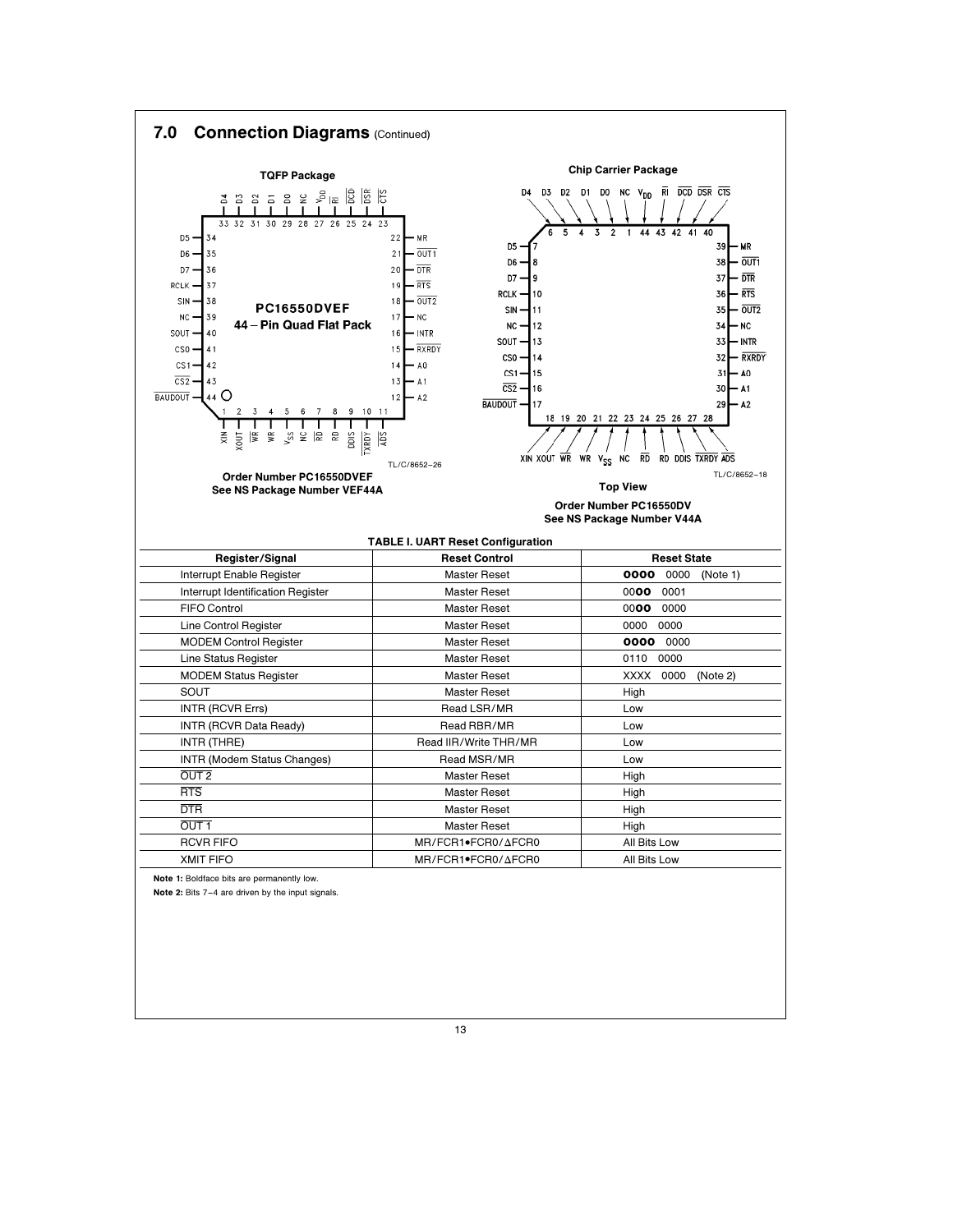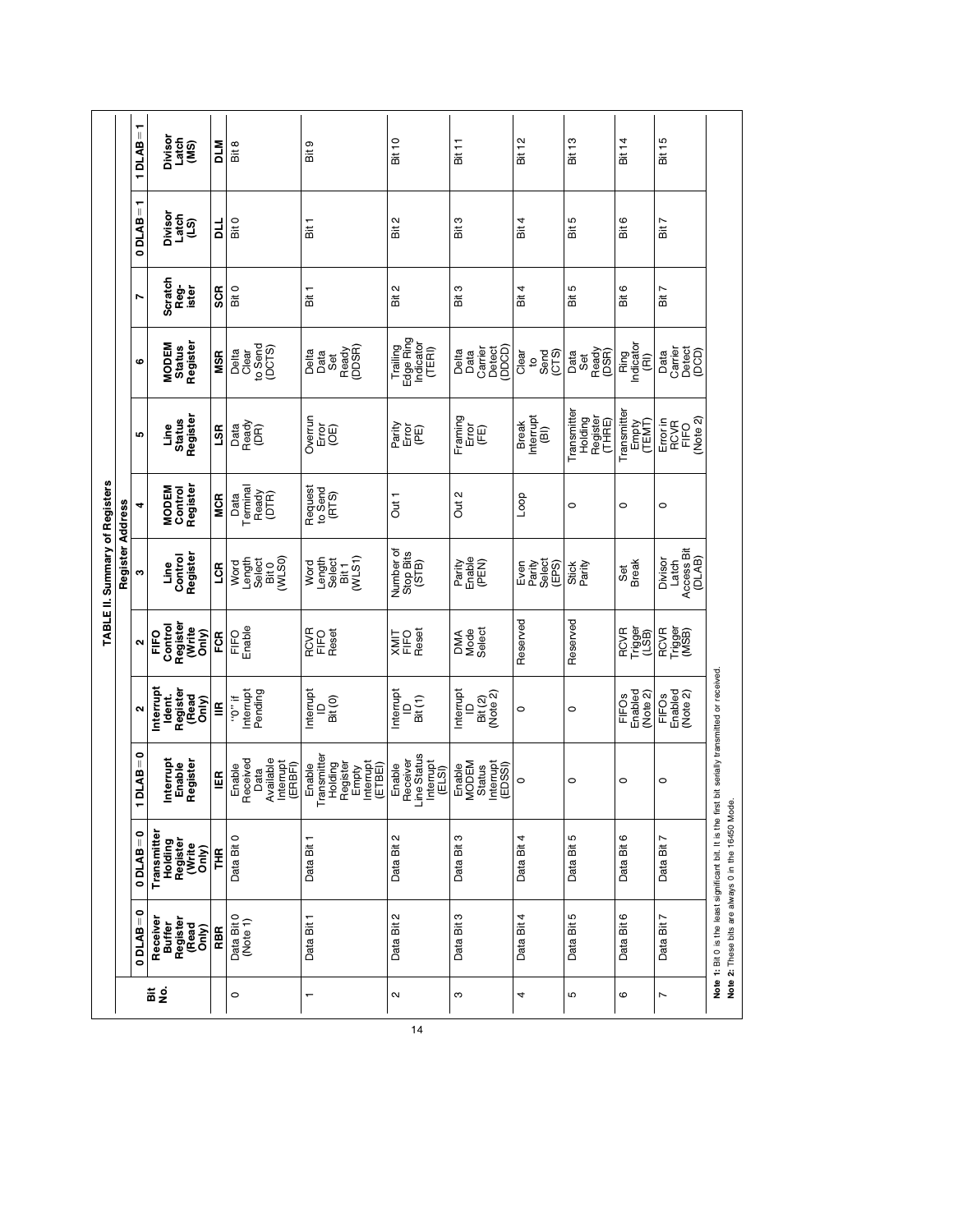|                                |                  | ī<br>1DLAB                | Divisor<br>Latch<br>(MS)                             | DTW          | Bit 8                                                           | თ<br>ä                                                                        | <b>Bit 10</b>                                           | Bit 11                                                    | Bit 12                                      | Bit 13                                      | Bit 14                                   | Bit 15                                   |                                                                                                                                                         |
|--------------------------------|------------------|---------------------------|------------------------------------------------------|--------------|-----------------------------------------------------------------|-------------------------------------------------------------------------------|---------------------------------------------------------|-----------------------------------------------------------|---------------------------------------------|---------------------------------------------|------------------------------------------|------------------------------------------|---------------------------------------------------------------------------------------------------------------------------------------------------------|
|                                |                  | ↽<br>$\parallel$<br>0DLAB | Divisor<br>Latch<br>(LS)                             | 님            | Bit 0                                                           | Bit 1                                                                         | Bit 2                                                   | Bit 3                                                     | Bit 4                                       | Bit 5                                       | Bit 6                                    | Bit 7                                    |                                                                                                                                                         |
|                                |                  | N                         | Scratch<br>Reg-<br>ister                             | <b>SCR</b>   | Bit 0                                                           | Bit 1                                                                         | $\sim$<br>iii.                                          | Bit 3                                                     | Bit 4                                       | Bit 5                                       | Bit 6                                    | Ľ<br>$\frac{1}{10}$                      |                                                                                                                                                         |
|                                |                  | ဖ                         | Register<br><b>MODEM</b><br><b>Status</b>            | <b>MSR</b>   | to Send<br>(DCTS)<br>Delta<br>Clear                             | Ready<br>(DDSR)<br>Delta<br>Data<br>Set                                       | Edge Ring<br>Indicator<br>Trailing<br>(TERI)            | Detect<br>(DDCD)<br>Carrier<br>Delta<br>Data              | Clear<br>Send<br>(CTS)<br>$\mathsf{a}$      | Ready<br>(DSR)<br>Data<br>Set               | Ring<br>Indicator<br>(RI)                | Detect<br>(DCD)<br>Carrier<br>Data       |                                                                                                                                                         |
|                                |                  | Ю                         | Register<br><b>Status</b><br>Line                    | <b>SS</b>    | Data<br>Ready<br>(DR)                                           | Overrun<br>に<br>この                                                            | Parity<br>)<br>대한                                       | Framing<br>Error<br>(FE)                                  | nterrupt<br><b>Break</b><br>$\widehat{\Xi}$ | Transmitte<br>Holding<br>Register<br>(THRE) | Transmitte<br>Empty<br>(TEMT)            | (Note 2)<br>Error in<br>RCVR<br>FIFO     |                                                                                                                                                         |
|                                |                  | 4                         | Register<br><b>MODEM</b><br>Control                  | <b>MCR</b>   | Terminal<br>Ready<br>(DTR)<br>Data                              | Request<br>to Send<br>(RTS)                                                   | Out <sub>1</sub>                                        | Out 2                                                     | Loop                                        | $\circ$                                     | $\circ$                                  | $\circ$                                  |                                                                                                                                                         |
| TABLE II. Summary of Registers | Register Address | c                         | Register<br>Control<br><u>u</u> ine                  | <b>LCR</b>   | Length<br>Select<br>Bit 0<br>(WLSO)<br>Word                     | (WLS1)<br>Length<br>Select<br>Word<br>Bit 1                                   | Number of<br>Stop Bits<br>(STB)                         | Enabie<br>(PEN)<br>Parity                                 | Select<br>Parity<br>(EPS)<br>Even           | Parity<br><b>Stick</b>                      | <b>Break</b><br>Set                      | Access Bit<br>(DLAB)<br>Divisor<br>Latch |                                                                                                                                                         |
|                                |                  | $\sim$                    | Register<br>Control<br>(Write<br>Only)<br>FIFO       | FCR          | Enable<br>FIFO                                                  | RCVR<br>FIFO<br>Reset                                                         | FIFO<br>Reset<br>TIMK                                   | Mode<br>Select<br><b>DMA</b>                              | Reserved                                    | Reserved                                    | Trigger<br>(LSB)<br><b>RCVR</b>          | RCVR<br>Trigger<br>(MSB)                 |                                                                                                                                                         |
|                                |                  | $\mathbf{\Omega}$         | nterrupt<br>Register<br>(Read<br>Ident.<br>Snly)     | ≝            | Pending<br>Interrupt<br>$\sharp$ 0.,                            | nterrupt<br>Bit (0)<br>$\supseteq$                                            | nterrupt<br>Bit(1)<br>$\supseteq$                       | nterrupt<br>Bit (2)<br>(Note 2)<br>$\supseteq$            | $\circ$                                     | $\circ$                                     | Enabled<br>(Note 2)<br>FIFO <sub>s</sub> | Enabled<br>(Note 2)<br><b>FIFOs</b>      |                                                                                                                                                         |
|                                |                  | $1$ DLAB = 0              | Interrupt<br>Register<br>Enable                      | $\mathbb{E}$ | Available<br>Received<br>Interrupt<br>(ERBFI)<br>Enable<br>Data | Transmitter<br>Holding<br>Register<br>Empty<br>Interrupt<br>IETBEI)<br>Enable | ine Status<br>Receiver<br>Interrupt<br>(ELSI)<br>Enable | Status<br>Interrupt<br>(EDSSI)<br><b>VIODEM</b><br>Enable | $\circ$                                     | $\circ$                                     | $\circ$                                  | $\circ$                                  |                                                                                                                                                         |
|                                |                  | $0$ DLAB = 0              | Transmitte<br>Holding<br>Register<br>(Write<br>Only) | FHR          | Data Bit 0                                                      | Data Bit 1                                                                    | $\sim$<br>Data Bit                                      | Data Bit 3                                                | Data Bit 4                                  | Ю<br>Data Bit                               | ဖ<br>Data Bit                            | $\overline{ }$<br>Data Bit               | Note 1: Bit 0 is the least significant bit. It is the first bit serially transmitted or received.<br>Note 2: These bits are always 0 in the 16450 Mode. |
|                                |                  | ۰<br>$\parallel$<br>0DLAB | Receiver<br>Buffer<br>Register<br>(Read<br>Only)     | RBR          | Data Bit 0<br>(Note 1)                                          | Data Bit 1                                                                    | Data Bit 2                                              | Data Bit 3                                                | Data Bit 4                                  | Data Bit 5                                  | Data Bit 6                               | Data Bit 7                               |                                                                                                                                                         |
|                                |                  |                           | 운동                                                   |              | $\circ$                                                         | $\overline{\phantom{0}}$                                                      | $\sim$                                                  | ო                                                         | 4                                           | Б                                           | ဖ                                        | $\overline{ }$                           |                                                                                                                                                         |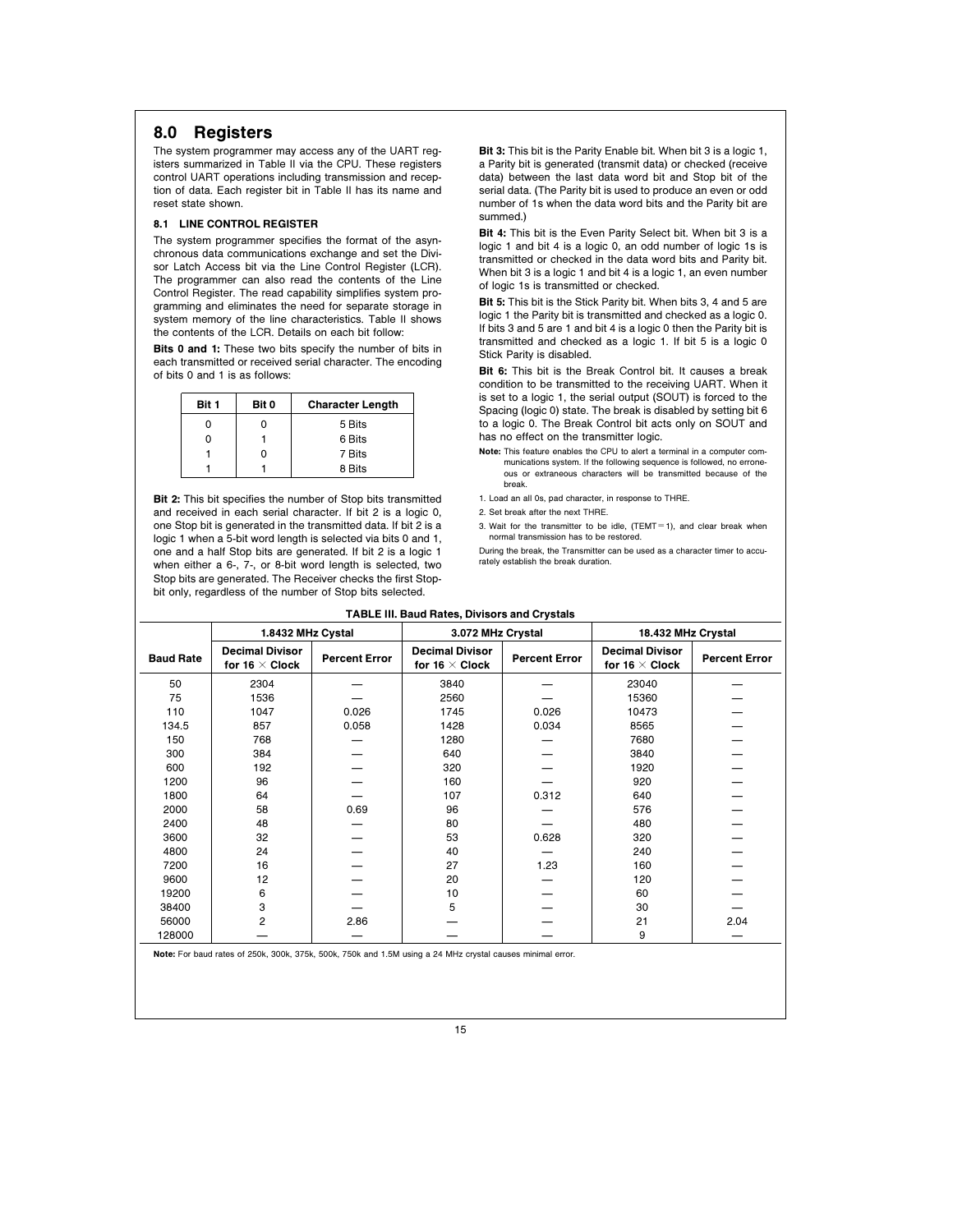# 8.0 Registers

The system programmer may access any of the UART registers summarized in Table II via the CPU. These registers control UART operations including transmission and reception of data. Each register bit in Table II has its name and reset state shown.

### 8.1 LINE CONTROL REGISTER

The system programmer specifies the format of the asynchronous data communications exchange and set the Divisor Latch Access bit via the Line Control Register (LCR). The programmer can also read the contents of the Line Control Register. The read capability simplifies system programming and eliminates the need for separate storage in system memory of the line characteristics. Table II shows the contents of the LCR. Details on each bit follow:

Bits 0 and 1: These two bits specify the number of bits in each transmitted or received serial character. The encoding of bits 0 and 1 is as follows:

| Bit 1 | Bit 0 | <b>Character Length</b> |
|-------|-------|-------------------------|
| Ω     |       | 5 Bits                  |
| ი     |       | 6 Bits                  |
|       |       | 7 Bits                  |
|       |       | 8 Bits                  |

**Bit 2:** This bit specifies the number of Stop bits transmitted and received in each serial character. If bit 2 is a logic 0, one Stop bit is generated in the transmitted data. If bit 2 is a logic 1 when a 5-bit word length is selected via bits 0 and 1, one and a half Stop bits are generated. If bit 2 is a logic 1 when either a 6-, 7-, or 8-bit word length is selected, two Stop bits are generated. The Receiver checks the first Stopbit only, regardless of the number of Stop bits selected

Bit 3: This bit is the Parity Enable bit. When bit 3 is a logic 1, a Parity bit is generated (transmit data) or checked (receive data) between the last data word bit and Stop bit of the serial data. (The Parity bit is used to produce an even or odd number of 1s when the data word bits and the Parity bit are summed.)

Bit 4: This bit is the Even Parity Select bit. When bit 3 is a logic 1 and bit 4 is a logic 0, an odd number of logic 1s is transmitted or checked in the data word bits and Parity bit. When bit 3 is a logic 1 and bit 4 is a logic 1, an even number of logic 1s is transmitted or checked.

Bit 5: This bit is the Stick Parity bit. When bits 3, 4 and 5 are logic 1 the Parity bit is transmitted and checked as a logic 0. If bits 3 and 5 are 1 and bit 4 is a logic 0 then the Parity bit is transmitted and checked as a logic 1. If bit 5 is a logic 0 Stick Parity is disabled.

Bit 6: This bit is the Break Control bit. It causes a break condition to be transmitted to the receiving UART. When it is set to a logic 1, the serial output (SOUT) is forced to the Spacing (logic 0) state. The break is disabled by setting bit 6 to a logic 0. The Break Control bit acts only on SOUT and has no effect on the transmitter logic.

- Note: This feature enables the CPU to alert a terminal in a computer communications system. If the following sequence is followed, no errone-ous or extraneous characters will be transmitted because of the break.
- 1. Load an all 0s, pad character, in response to THRE.
- 2. Set break after the next THRE.
- 3. Wait for the transmitter to be idle,  $(TEMT=1)$ , and clear break when

rately establish the break duration.

normal transmission has to be restored. During the break, the Transmitter can be used as a character timer to accu-

|                  | <b>TABLE III. Baud Rates, Divisors and Crystals</b>                                                        |                      |                                                 |                      |                                                 |                      |  |
|------------------|------------------------------------------------------------------------------------------------------------|----------------------|-------------------------------------------------|----------------------|-------------------------------------------------|----------------------|--|
|                  | 1.8432 MHz Cystal<br>3.072 MHz Crystal<br>18.432 MHz Crystal                                               |                      |                                                 |                      |                                                 |                      |  |
| <b>Baud Rate</b> | <b>Decimal Divisor</b><br>for 16 $\times$ Clock                                                            | <b>Percent Error</b> | <b>Decimal Divisor</b><br>for 16 $\times$ Clock | <b>Percent Error</b> | <b>Decimal Divisor</b><br>for 16 $\times$ Clock | <b>Percent Error</b> |  |
| 50               | 2304                                                                                                       |                      | 3840                                            |                      | 23040                                           |                      |  |
| 75               | 1536                                                                                                       |                      | 2560                                            |                      | 15360                                           |                      |  |
| 110              | 1047                                                                                                       | 0.026                | 1745                                            | 0.026                | 10473                                           |                      |  |
| 134.5            | 857                                                                                                        | 0.058                | 1428                                            | 0.034                | 8565                                            |                      |  |
| 150              | 768                                                                                                        |                      | 1280                                            |                      | 7680                                            |                      |  |
| 300              | 384                                                                                                        |                      | 640                                             |                      | 3840                                            |                      |  |
| 600              | 192                                                                                                        |                      | 320                                             |                      | 1920                                            |                      |  |
| 1200             | 96                                                                                                         |                      | 160                                             |                      | 920                                             |                      |  |
| 1800             | 64                                                                                                         |                      | 107                                             | 0.312                | 640                                             |                      |  |
| 2000             | 58                                                                                                         | 0.69                 | 96                                              |                      | 576                                             |                      |  |
| 2400             | 48                                                                                                         |                      | 80                                              |                      | 480                                             |                      |  |
| 3600             | 32                                                                                                         |                      | 53                                              | 0.628                | 320                                             |                      |  |
| 4800             | 24                                                                                                         |                      | 40                                              |                      | 240                                             |                      |  |
| 7200             | 16                                                                                                         |                      | 27                                              | 1.23                 | 160                                             |                      |  |
| 9600             | 12                                                                                                         |                      | 20                                              |                      | 120                                             |                      |  |
| 19200            | 6                                                                                                          |                      | 10                                              |                      | 60                                              |                      |  |
| 38400            | 3                                                                                                          |                      | 5                                               |                      | 30                                              |                      |  |
| 56000            | 2                                                                                                          | 2.86                 |                                                 |                      | 21                                              | 2.04                 |  |
| 128000           |                                                                                                            |                      |                                                 |                      | 9                                               |                      |  |
|                  | Note: For baud rates of 250k, 300k, 375k, 500k, 750k and 1.5M using a 24 MHz crystal causes minimal error. |                      |                                                 |                      |                                                 |                      |  |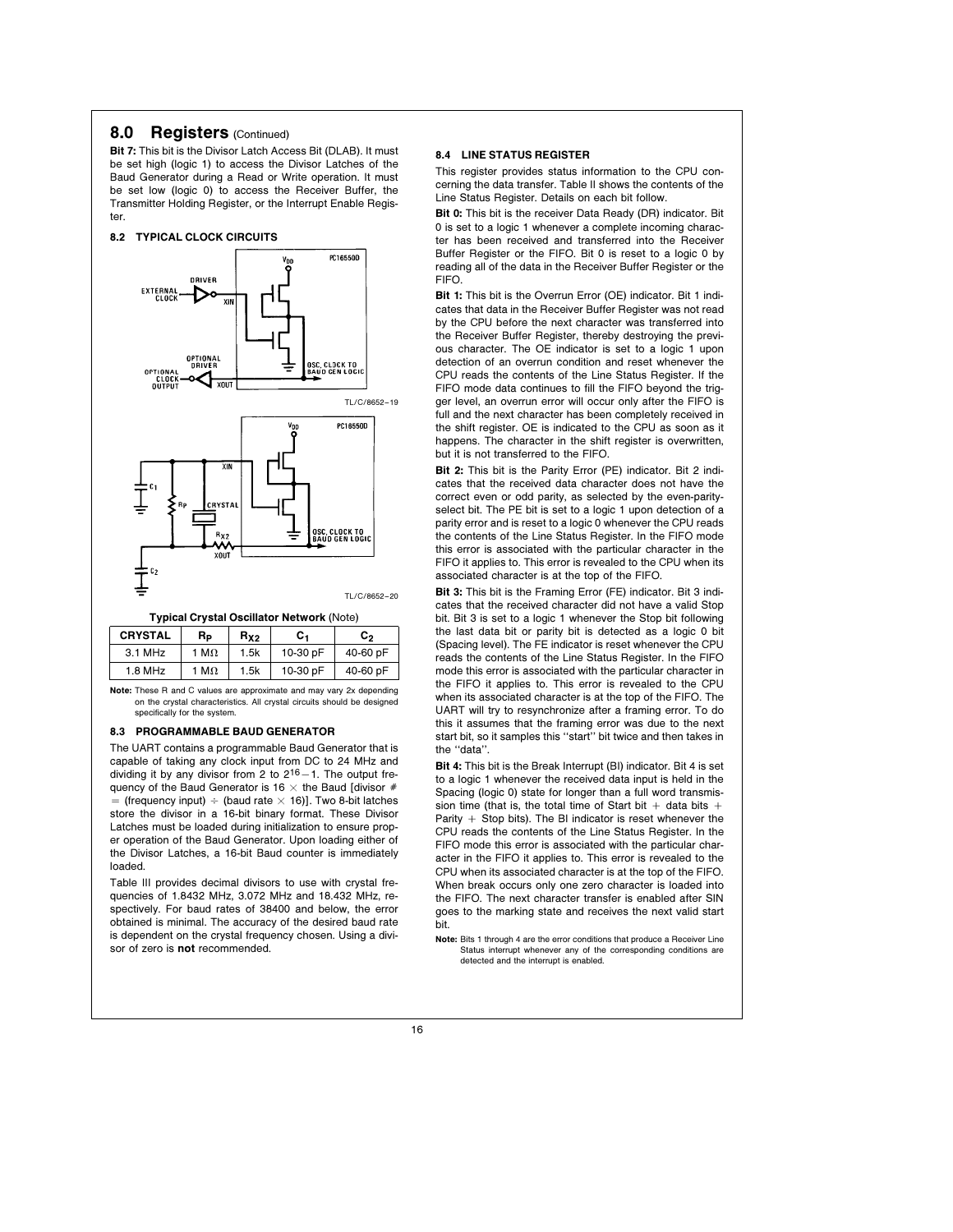### 8.0 **Registers** (Continued)

Bit 7: This bit is the Divisor Latch Access Bit (DLAB). It must be set high (logic 1) to access the Divisor Latches of the Baud Generator during a Read or Write operation. It must be set low (logic 0) to access the Receiver Buffer, the Transmitter Holding Register, or the Interrupt Enable Register.



Typical Crystal Oscillator Network (Note)

| <b>CRYSTAL</b> | Rь           | R <sub>x2</sub> | с.       | C,       |
|----------------|--------------|-----------------|----------|----------|
| $3.1$ MHz      | 1 M $\Omega$ | 1.5k            | 10-30 pF | 40-60 pF |
| $1.8$ MHz      | 1 M $\Omega$ | 1.5k            | 10-30 pF | 40-60 pF |
|                |              |                 |          |          |

Note: These R and C values are approximate and may vary 2x depending on the crystal characteristics. All crystal circuits should be designed specifically for the system.

#### 8.3 PROGRAMMABLE BAUD GENERATOR

The UART contains a programmable Baud Generator that is capable of taking any clock input from DC to 24 MHz and dividing it by any divisor from 2 to  $2^{16}-1$ . The output frequency of the Baud Generator is 16  $\times$  the Baud [divisor # = (frequency input)  $\div$  (baud rate  $\times$  16)]. Two 8-bit latches store the divisor in a 16-bit binary format. These Divisor Latches must be loaded during initialization to ensure proper operation of the Baud Generator. Upon loading either of the Divisor Latches, a 16-bit Baud counter is immediately loaded.

Table III provides decimal divisors to use with crystal frequencies of 1.8432 MHz, 3.072 MHz and 18.432 MHz, respectively. For baud rates of 38400 and below, the error obtained is minimal. The accuracy of the desired baud rate is dependent on the crystal frequency chosen. Using a divisor of zero is not recommended.

#### 8.4 LINE STATUS REGISTER

This register provides status information to the CPU concerning the data transfer. Table II shows the contents of the Line Status Register. Details on each bit follow.

Bit 0: This bit is the receiver Data Ready (DR) indicator. Bit 0 is set to a logic 1 whenever a complete incoming character has been received and transferred into the Receiver Buffer Register or the FIFO. Bit 0 is reset to a logic 0 by reading all of the data in the Receiver Buffer Register or the FIFO.

Bit 1: This bit is the Overrun Error (OE) indicator. Bit 1 indicates that data in the Receiver Buffer Register was not read by the CPU before the next character was transferred into the Receiver Buffer Register, thereby destroying the previous character. The OE indicator is set to a logic 1 upon detection of an overrun condition and reset whenever the CPU reads the contents of the Line Status Register. If the FIFO mode data continues to fill the FIFO beyond the trigger level, an overrun error will occur only after the FIFO is full and the next character has been completely received in the shift register. OE is indicated to the CPU as soon as it happens. The character in the shift register is overwritten, but it is not transferred to the FIFO.

Bit 2: This bit is the Parity Error (PE) indicator. Bit 2 indicates that the received data character does not have the correct even or odd parity, as selected by the even-parityselect bit. The PE bit is set to a logic 1 upon detection of a parity error and is reset to a logic 0 whenever the CPU reads the contents of the Line Status Register. In the FIFO mode this error is associated with the particular character in the FIFO it applies to. This error is revealed to the CPU when its associated character is at the top of the FIFO.

Bit 3: This bit is the Framing Error (FE) indicator. Bit 3 indicates that the received character did not have a valid Stop bit. Bit 3 is set to a logic 1 whenever the Stop bit following the last data bit or parity bit is detected as a logic 0 bit (Spacing level). The FE indicator is reset whenever the CPU reads the contents of the Line Status Register. In the FIFO mode this error is associated with the particular character in the FIFO it applies to. This error is revealed to the CPU when its associated character is at the top of the FIFO. The UART will try to resynchronize after a framing error. To do this it assumes that the framing error was due to the next start bit, so it samples this ''start'' bit twice and then takes in the ''data''.

Bit 4: This bit is the Break Interrupt (BI) indicator. Bit 4 is set to a logic 1 whenever the received data input is held in the Spacing (logic 0) state for longer than a full word transmission time (that is, the total time of Start bit  $+$  data bits  $+$ Parity  $+$  Stop bits). The BI indicator is reset whenever the CPU reads the contents of the Line Status Register. In the FIFO mode this error is associated with the particular character in the FIFO it applies to. This error is revealed to the CPU when its associated character is at the top of the FIFO. When break occurs only one zero character is loaded into the FIFO. The next character transfer is enabled after SIN goes to the marking state and receives the next valid start bit.

Note: Bits 1 through 4 are the error conditions that produce a Receiver Line Status interrupt whenever any of the corresponding conditions are detected and the interrupt is enabled.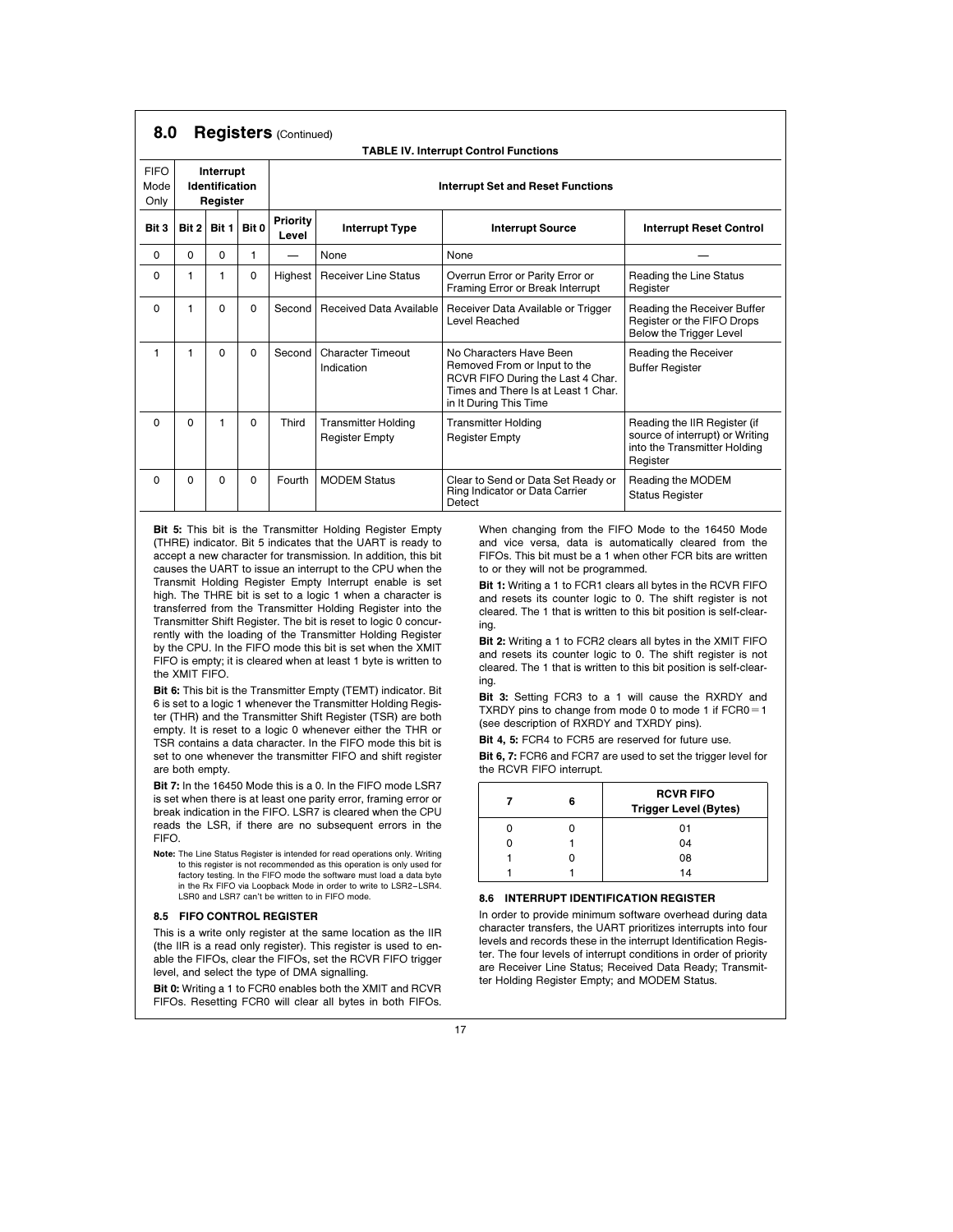| 8.0                                                                    |                         | <b>Registers</b> (Continued)                 |          |         |                                                     |                                                                                                                                                               |                                                                                                             |                                |  |
|------------------------------------------------------------------------|-------------------------|----------------------------------------------|----------|---------|-----------------------------------------------------|---------------------------------------------------------------------------------------------------------------------------------------------------------------|-------------------------------------------------------------------------------------------------------------|--------------------------------|--|
|                                                                        |                         | <b>TABLE IV. Interrupt Control Functions</b> |          |         |                                                     |                                                                                                                                                               |                                                                                                             |                                |  |
| <b>FIFO</b><br>Interrupt<br>Identification<br>Mode<br>Only<br>Register |                         | <b>Interrupt Set and Reset Functions</b>     |          |         |                                                     |                                                                                                                                                               |                                                                                                             |                                |  |
| Bit 3                                                                  | Bit 1<br>Bit 0<br>Bit 2 |                                              |          |         | Priority<br><b>Interrupt Type</b><br>Level          |                                                                                                                                                               | <b>Interrupt Source</b>                                                                                     | <b>Interrupt Reset Control</b> |  |
| 0                                                                      | 0                       | 0                                            | 1        |         | None                                                | None                                                                                                                                                          |                                                                                                             |                                |  |
| $\Omega$                                                               | 1                       | 1.                                           | 0        | Highest | <b>Receiver Line Status</b>                         | Overrun Error or Parity Error or<br>Framing Error or Break Interrupt                                                                                          | Reading the Line Status<br>Register                                                                         |                                |  |
| $\Omega$                                                               | 1                       | 0                                            | $\Omega$ | Second  | Received Data Available                             | Receiver Data Available or Trigger<br>Level Reached                                                                                                           | Reading the Receiver Buffer<br>Register or the FIFO Drops<br>Below the Trigger Level                        |                                |  |
| 1                                                                      | 1                       | 0                                            | 0        | Second  | <b>Character Timeout</b><br>Indication              | No Characters Have Been<br>Removed From or Input to the<br>RCVR FIFO During the Last 4 Char.<br>Times and There Is at Least 1 Char.<br>in It During This Time | Reading the Receiver<br><b>Buffer Register</b>                                                              |                                |  |
| $\Omega$                                                               | $\Omega$                | 1                                            | $\Omega$ | Third   | <b>Transmitter Holding</b><br><b>Register Empty</b> | <b>Transmitter Holding</b><br><b>Register Empty</b>                                                                                                           | Reading the IIR Register (if<br>source of interrupt) or Writing<br>into the Transmitter Holding<br>Register |                                |  |
| $\Omega$                                                               | $\Omega$                | 0                                            | 0        | Fourth  | <b>MODEM Status</b>                                 | Clear to Send or Data Set Ready or<br>Ring Indicator or Data Carrier<br>Detect                                                                                | Reading the MODEM<br><b>Status Register</b>                                                                 |                                |  |

Bit 5: This bit is the Transmitter Holding Register Empty (THRE) indicator. Bit 5 indicates that the UART is ready to accept a new character for transmission. In addition, this bit causes the UART to issue an interrupt to the CPU when the Transmit Holding Register Empty Interrupt enable is set high. The THRE bit is set to a logic 1 when a character is transferred from the Transmitter Holding Register into the Transmitter Shift Register. The bit is reset to logic 0 concurrently with the loading of the Transmitter Holding Register by the CPU. In the FIFO mode this bit is set when the XMIT FIFO is empty; it is cleared when at least 1 byte is written to the XMIT FIFO.

Bit 6: This bit is the Transmitter Empty (TEMT) indicator. Bit 6 is set to a logic 1 whenever the Transmitter Holding Register (THR) and the Transmitter Shift Register (TSR) are both empty. It is reset to a logic 0 whenever either the THR or TSR contains a data character. In the FIFO mode this bit is set to one whenever the transmitter FIFO and shift register are both empty.

Bit 7: In the 16450 Mode this is a 0. In the FIFO mode LSR7 is set when there is at least one parity error, framing error or break indication in the FIFO. LSR7 is cleared when the CPU reads the LSR, if there are no subsequent errors in the FIFO.

Note: The Line Status Register is intended for read operations only. Writing to this register is not recommended as this operation is only used for factory testing. In the FIFO mode the software must load a data byte in the Rx FIFO via Loopback Mode in order to write to LSR2–LSR4. LSR0 and LSR7 can't be written to in FIFO mode.

### 8.5 FIFO CONTROL REGISTER

This is a write only register at the same location as the IIR (the IIR is a read only register). This register is used to enable the FIFOs, clear the FIFOs, set the RCVR FIFO trigger level, and select the type of DMA signalling.

Bit 0: Writing a 1 to FCR0 enables both the XMIT and RCVR FIFOs. Resetting FCR0 will clear all bytes in both FIFOs.

When changing from the FIFO Mode to the 16450 Mode and vice versa, data is automatically cleared from the FIFOs. This bit must be a 1 when other FCR bits are written to or they will not be programmed.

Bit 1: Writing a 1 to FCR1 clears all bytes in the RCVR FIFO and resets its counter logic to 0. The shift register is not cleared. The 1 that is written to this bit position is self-clearing.

Bit 2: Writing a 1 to FCR2 clears all bytes in the XMIT FIFO and resets its counter logic to 0. The shift register is not cleared. The 1 that is written to this bit position is self-clearing.

Bit 3: Setting FCR3 to a 1 will cause the RXRDY and TXRDY pins to change from mode 0 to mode 1 if  $FCR0 = 1$ (see description of RXRDY and TXRDY pins).

Bit 4, 5: FCR4 to FCR5 are reserved for future use.

Bit 6, 7: FCR6 and FCR7 are used to set the trigger level for the RCVR FIFO interrupt.

|  | <b>RCVR FIFO</b><br><b>Trigger Level (Bytes)</b> |
|--|--------------------------------------------------|
|  | 01                                               |
|  | 04                                               |
|  | 08                                               |
|  | 14                                               |

#### 8.6 INTERRUPT IDENTIFICATION REGISTER

In order to provide minimum software overhead during data character transfers, the UART prioritizes interrupts into four levels and records these in the interrupt Identification Register. The four levels of interrupt conditions in order of priority are Receiver Line Status; Received Data Ready; Transmitter Holding Register Empty; and MODEM Status.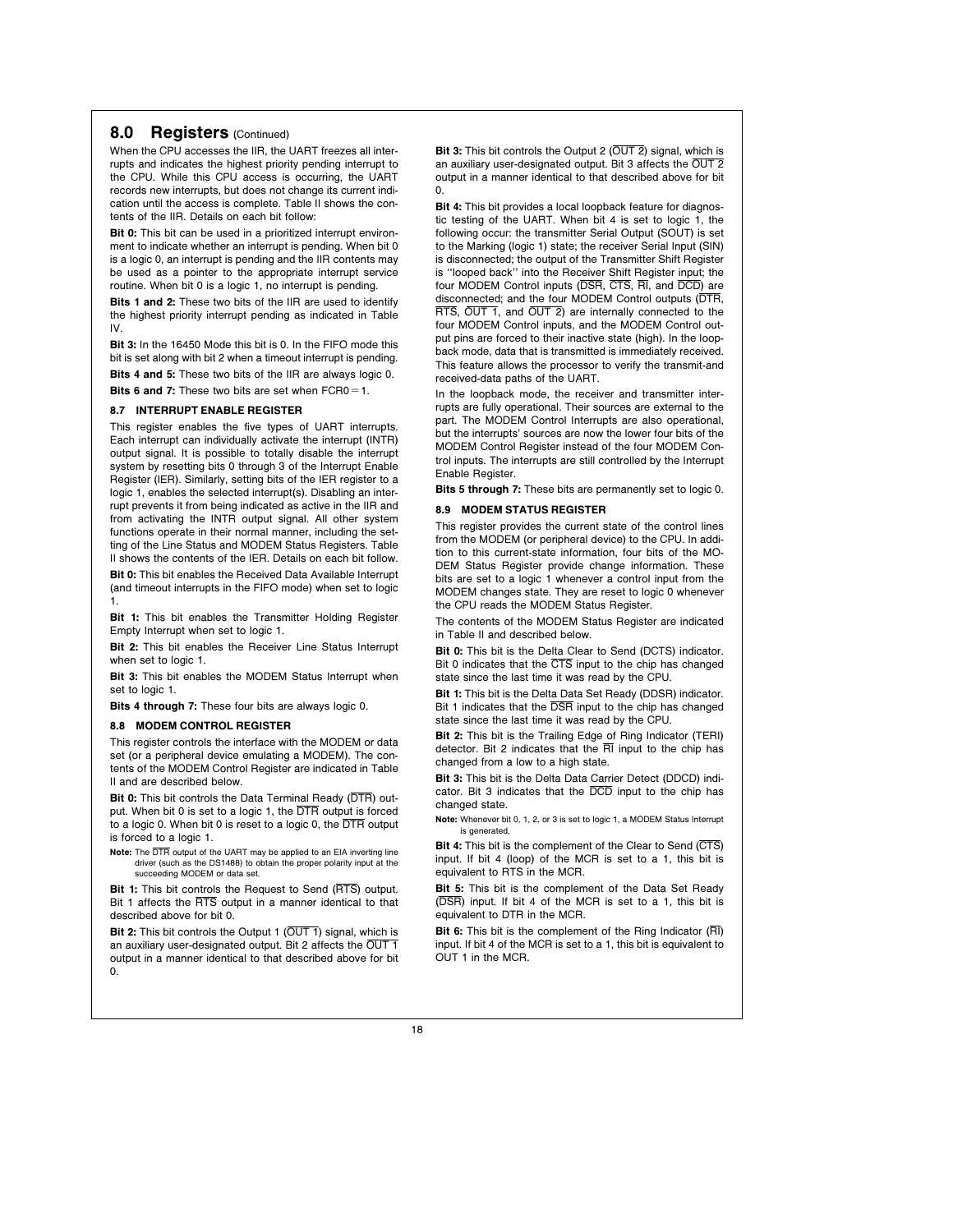### 8.0 **Registers** (Continued)

When the CPU accesses the IIR, the UART freezes all interrupts and indicates the highest priority pending interrupt to the CPU. While this CPU access is occurring, the UART records new interrupts, but does not change its current indication until the access is complete. Table II shows the contents of the IIR. Details on each bit follow:

Bit 0: This bit can be used in a prioritized interrupt environment to indicate whether an interrupt is pending. When bit 0 is a logic 0, an interrupt is pending and the IIR contents may be used as a pointer to the appropriate interrupt service routine. When bit 0 is a logic 1, no interrupt is pending.

Bits 1 and 2: These two bits of the IIR are used to identify the highest priority interrupt pending as indicated in Table IV.

Bit 3: In the 16450 Mode this bit is 0. In the FIFO mode this bit is set along with bit 2 when a timeout interrupt is pending. Bits 4 and 5: These two bits of the IIR are always logic 0.

Bits 6 and 7: These two bits are set when  $FCRO = 1$ .

#### 8.7 INTERRUPT ENABLE REGISTER

This register enables the five types of UART interrupts. Each interrupt can individually activate the interrupt (INTR) output signal. It is possible to totally disable the interrupt system by resetting bits 0 through 3 of the Interrupt Enable Register (IER). Similarly, setting bits of the IER register to a logic 1, enables the selected interrupt(s). Disabling an interrupt prevents it from being indicated as active in the IIR and from activating the INTR output signal. All other system functions operate in their normal manner, including the setting of the Line Status and MODEM Status Registers. Table II shows the contents of the IER. Details on each bit follow.

**Bit 0:** This bit enables the Received Data Available Interrupt (and timeout interrupts in the FIFO mode) when set to logic 1.

Bit 1: This bit enables the Transmitter Holding Register Empty Interrupt when set to logic 1.

Bit 2: This bit enables the Receiver Line Status Interrupt when set to logic 1.

Bit 3: This bit enables the MODEM Status Interrupt when set to logic 1.

Bits 4 through 7: These four bits are always logic 0.

#### 8.8 MODEM CONTROL REGISTER

This register controls the interface with the MODEM or data set (or a peripheral device emulating a MODEM). The contents of the MODEM Control Register are indicated in Table II and are described below.

Bit 0: This bit controls the Data Terminal Ready (DTR) output. When bit 0 is set to a logic 1, the DTR output is forced to a logic 0. When bit 0 is reset to a logic 0, the DTR output is forced to a logic 1.

Note: The DTR output of the UART may be applied to an EIA inverting line driver (such as the DS1488) to obtain the proper polarity input at the succeeding MODEM or data set.

Bit 1: This bit controls the Request to Send (RTS) output. Bit 1 affects the RTS output in a manner identical to that described above for bit 0.

Bit 2: This bit controls the Output 1 (OUT 1) signal, which is an auxiliary user-designated output. Bit 2 affects the OUT 1 output in a manner identical to that described above for bit 0.

Bit 3: This bit controls the Output 2  $(OUT 2)$  signal, which is an auxiliary user-designated output. Bit 3 affects the OUT 2 output in a manner identical to that described above for bit  $\Omega$ .

Bit 4: This bit provides a local loopback feature for diagnostic testing of the UART. When bit 4 is set to logic 1, the following occur: the transmitter Serial Output (SOUT) is set to the Marking (logic 1) state; the receiver Serial Input (SIN) is disconnected; the output of the Transmitter Shift Register is ''looped back'' into the Receiver Shift Register input; the four MODEM Control inputs (DSR, CTS, RI, and DCD) are disconnected; and the four MODEM Control outputs (DTR, RTS, OUT 1, and OUT 2) are internally connected to the four MODEM Control inputs, and the MODEM Control output pins are forced to their inactive state (high). In the loopback mode, data that is transmitted is immediately received. This feature allows the processor to verify the transmit-and received-data paths of the UART.

In the loopback mode, the receiver and transmitter interrupts are fully operational. Their sources are external to the part. The MODEM Control Interrupts are also operational, but the interrupts' sources are now the lower four bits of the MODEM Control Register instead of the four MODEM Control inputs. The interrupts are still controlled by the Interrupt Enable Register.

Bits 5 through 7: These bits are permanently set to logic 0.

#### 8.9 MODEM STATUS REGISTER

This register provides the current state of the control lines from the MODEM (or peripheral device) to the CPU. In addition to this current-state information, four bits of the MO-DEM Status Register provide change information. These bits are set to a logic 1 whenever a control input from the MODEM changes state. They are reset to logic 0 whenever the CPU reads the MODEM Status Register.

The contents of the MODEM Status Register are indicated in Table II and described below.

Bit 0: This bit is the Delta Clear to Send (DCTS) indicator. Bit 0 indicates that the CTS input to the chip has changed state since the last time it was read by the CPU.

Bit 1: This bit is the Delta Data Set Ready (DDSR) indicator. Bit 1 indicates that the  $\overline{\text{DSR}}$  input to the chip has changed state since the last time it was read by the CPU.

Bit 2: This bit is the Trailing Edge of Ring Indicator (TERI) detector. Bit 2 indicates that the  $\overline{\text{RI}}$  input to the chip has changed from a low to a high state.

Bit 3: This bit is the Delta Data Carrier Detect (DDCD) indicator. Bit 3 indicates that the DCD input to the chip has changed state.

Note: Whenever bit 0, 1, 2, or 3 is set to logic 1, a MODEM Status Interrupt is generated.

Bit 4: This bit is the complement of the Clear to Send (CTS) input. If bit 4 (loop) of the MCR is set to a 1, this bit is equivalent to RTS in the MCR.

Bit 5: This bit is the complement of the Data Set Ready (DSR) input. If bit 4 of the MCR is set to a 1, this bit is equivalent to DTR in the MCR.

Bit 6: This bit is the complement of the Ring Indicator (RI) input. If bit 4 of the MCR is set to a 1, this bit is equivalent to OUT 1 in the MCR.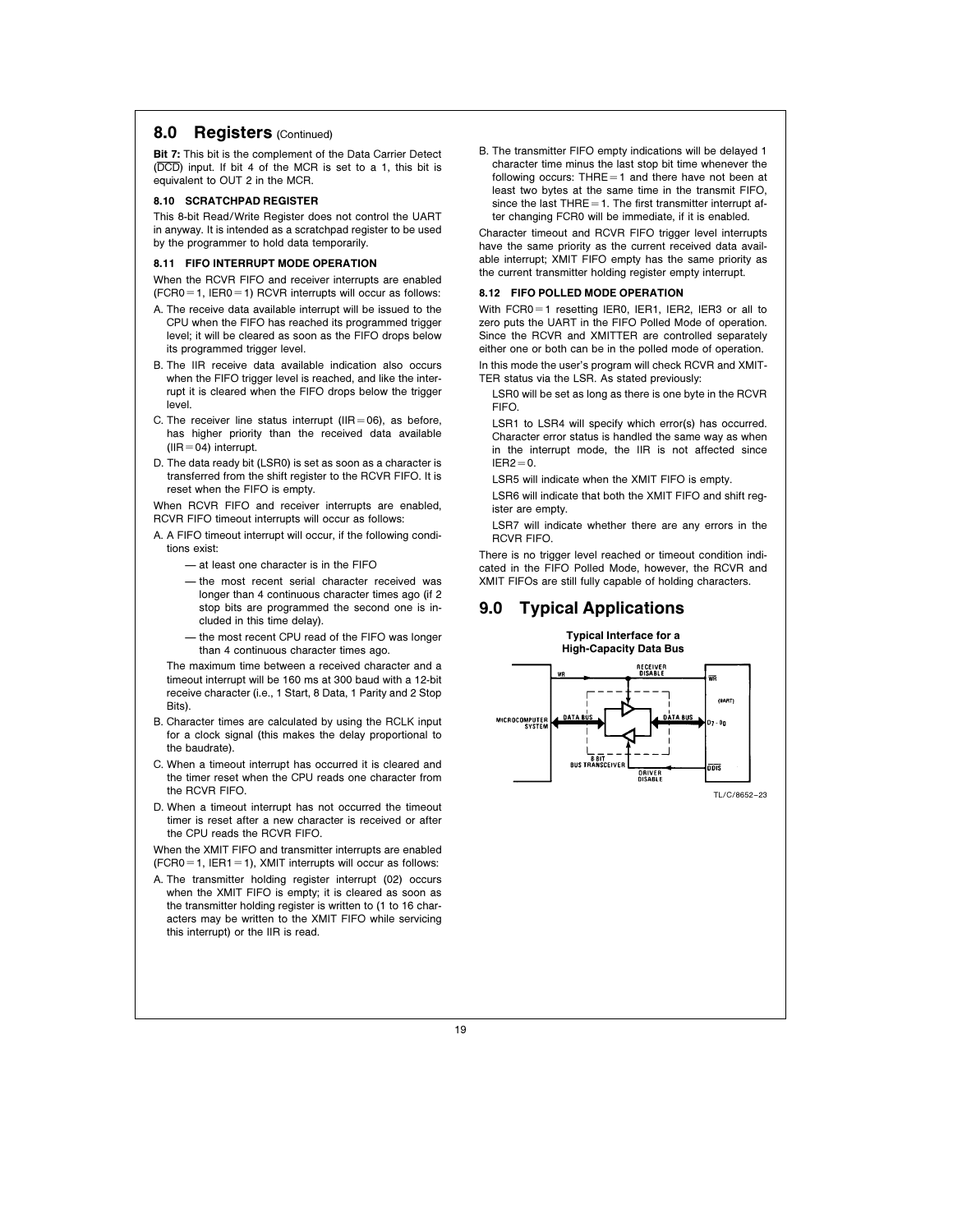### 8.0 Registers (Continued)

Bit 7: This bit is the complement of the Data Carrier Detect (DCD) input. If bit 4 of the MCR is set to a 1, this bit is equivalent to OUT 2 in the MCR.

#### 8.10 SCRATCHPAD REGISTER

This 8-bit Read/Write Register does not control the UART in anyway. It is intended as a scratchpad register to be used by the programmer to hold data temporarily.

### 8.11 FIFO INTERRUPT MODE OPERATION

When the RCVR FIFO and receiver interrupts are enabled  $(FCRO = 1, IER0 = 1)$  RCVR interrupts will occur as follows:

- A. The receive data available interrupt will be issued to the CPU when the FIFO has reached its programmed trigger level; it will be cleared as soon as the FIFO drops below its programmed trigger level.
- B. The IIR receive data available indication also occurs when the FIFO trigger level is reached, and like the interrupt it is cleared when the FIFO drops below the trigger level.
- C. The receiver line status interrupt (IIR=06), as before, has higher priority than the received data available  $(IIR = 04)$  interrupt.
- D. The data ready bit (LSR0) is set as soon as a character is transferred from the shift register to the RCVR FIFO. It is reset when the FIFO is empty.

When RCVR FIFO and receiver interrupts are enabled, RCVR FIFO timeout interrupts will occur as follows:

- A. A FIFO timeout interrupt will occur, if the following conditions exist:
	- $ightharpoonup$  at least one character is in the  $FIFO$
	- $\equiv$  the most recent serial character received was longer than 4 continuous character times ago (if 2 stop bits are programmed the second one is included in this time delay).
	- the most recent CPU read of the FIFO was longer than 4 continuous character times ago.

The maximum time between a received character and a timeout interrupt will be 160 ms at 300 baud with a 12-bit receive character (i.e., 1 Start, 8 Data, 1 Parity and 2 Stop Bits).

- B. Character times are calculated by using the RCLK input for a clock signal (this makes the delay proportional to the baudrate).
- C. When a timeout interrupt has occurred it is cleared and the timer reset when the CPU reads one character from the RCVR FIFO.
- D. When a timeout interrupt has not occurred the timeout timer is reset after a new character is received or after the CPU reads the RCVR FIFO.

When the XMIT FIFO and transmitter interrupts are enabled  $(FCRO = 1, IER1 = 1)$ , XMIT interrupts will occur as follows:

A. The transmitter holding register interrupt (02) occurs when the XMIT FIFO is empty; it is cleared as soon as the transmitter holding register is written to (1 to 16 characters may be written to the XMIT FIFO while servicing this interrupt) or the IIR is read.

B. The transmitter FIFO empty indications will be delayed 1 character time minus the last stop bit time whenever the following occurs: THRE $=1$  and there have not been at least two bytes at the same time in the transmit FIFO, since the last  $THRE = 1$ . The first transmitter interrupt after changing FCR0 will be immediate, if it is enabled.

Character timeout and RCVR FIFO trigger level interrupts have the same priority as the current received data available interrupt; XMIT FIFO empty has the same priority as the current transmitter holding register empty interrupt.

### 8.12 FIFO POLLED MODE OPERATION

With FCR0=1 resetting IER0, IER1, IER2, IER3 or all to zero puts the UART in the FIFO Polled Mode of operation. Since the RCVR and XMITTER are controlled separately either one or both can be in the polled mode of operation. In this mode the user's program will check RCVR and XMIT-

TER status via the LSR. As stated previously:

LSR0 will be set as long as there is one byte in the RCVR FIFO.

LSR1 to LSR4 will specify which error(s) has occurred. Character error status is handled the same way as when in the interrupt mode, the IIR is not affected since  $IFB2 = 0$ 

LSR5 will indicate when the XMIT FIFO is empty.

LSR6 will indicate that both the XMIT FIFO and shift register are empty.

LSR7 will indicate whether there are any errors in the RCVR FIFO.

There is no trigger level reached or timeout condition indicated in the FIFO Polled Mode, however, the RCVR and XMIT FIFOs are still fully capable of holding characters.

# 9.0 Typical Applications

Typical Interface for a High-Capacity Data Bus **RECEIVER**<br>DISABLE WR **(HART)** MICROCOMPUTER  $\frac{1}{8.817}$  –  $-$ <br>BUS TRANSCEIVER nis **DRIVER**<br>DISARLE TL/C/8652 –23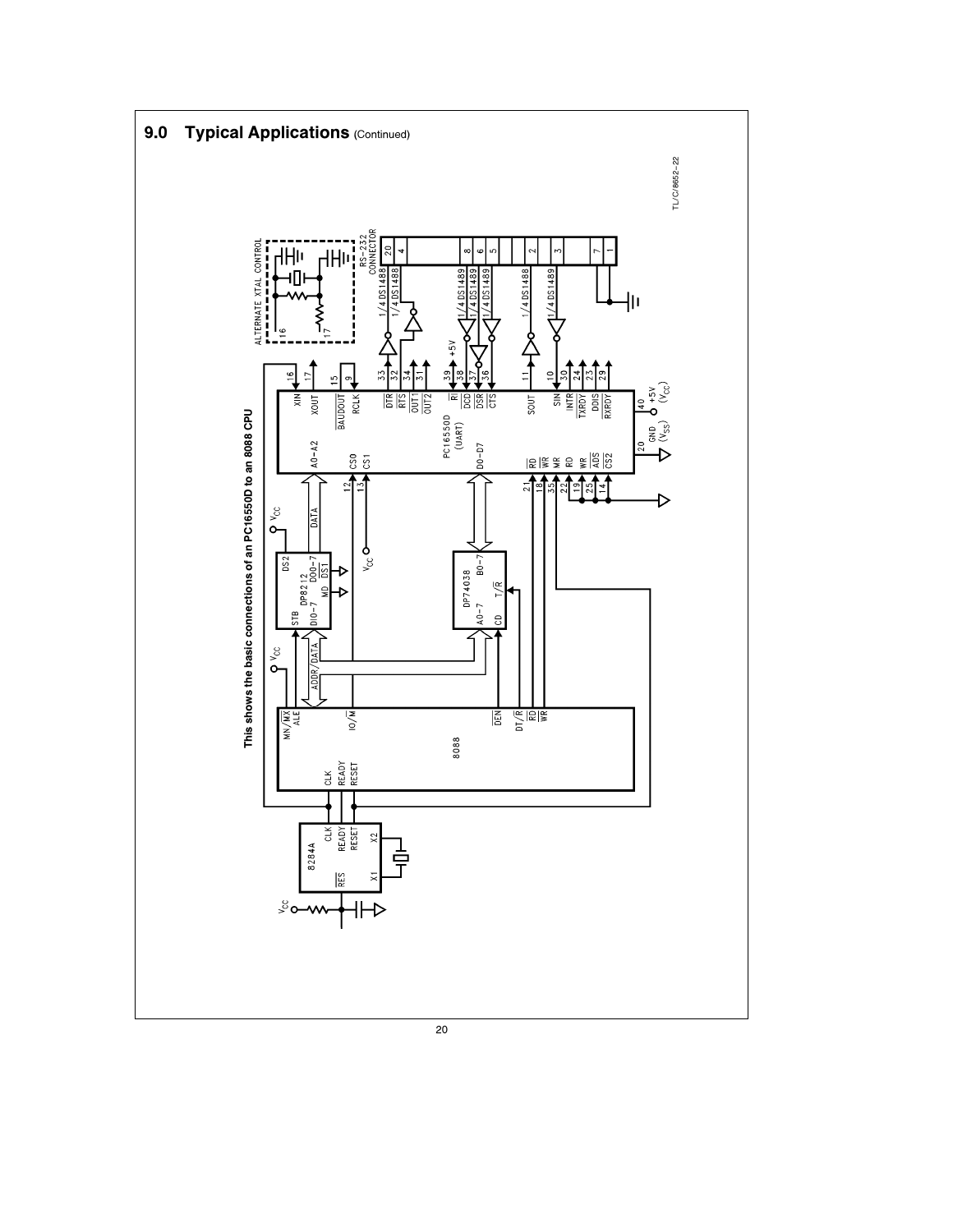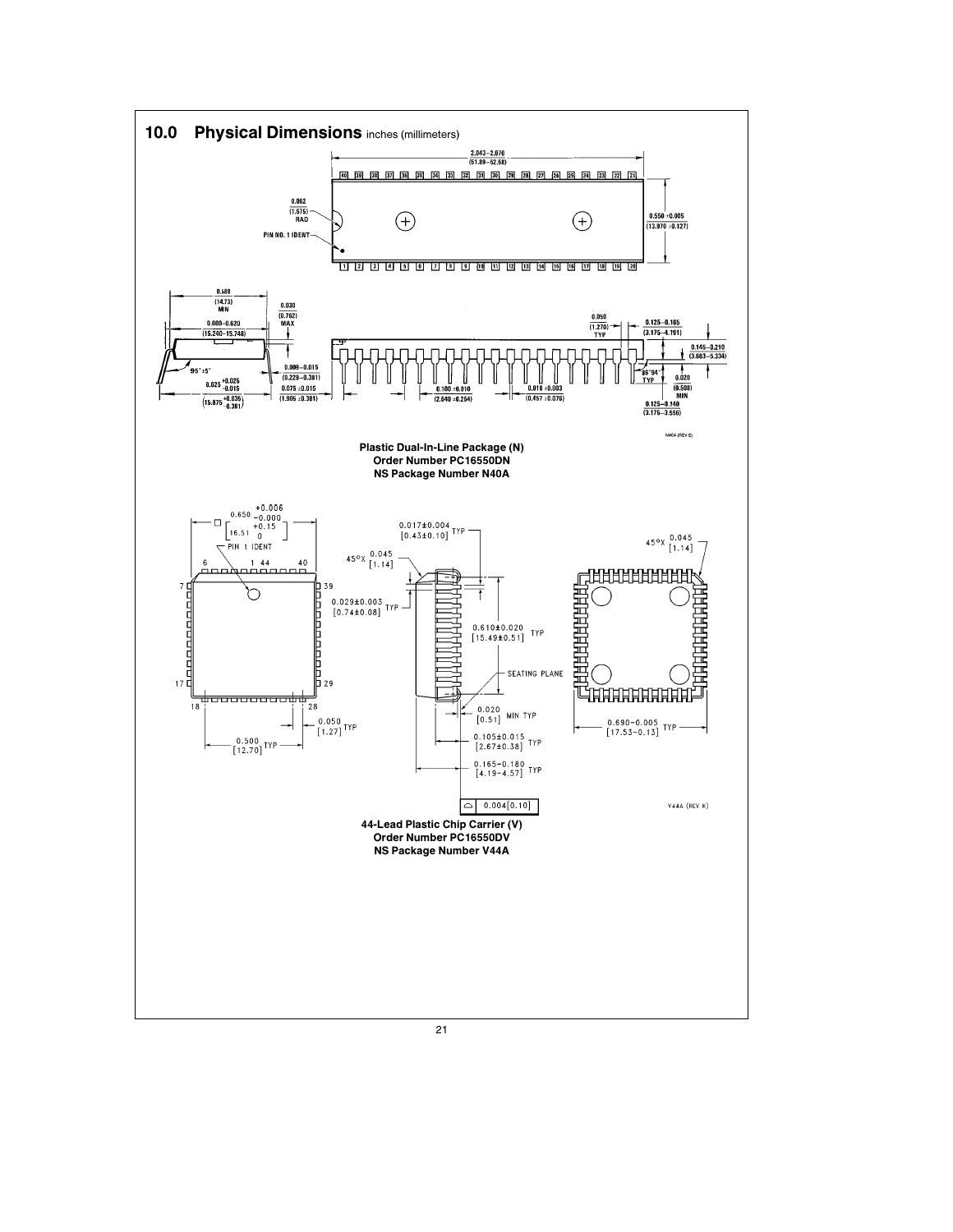